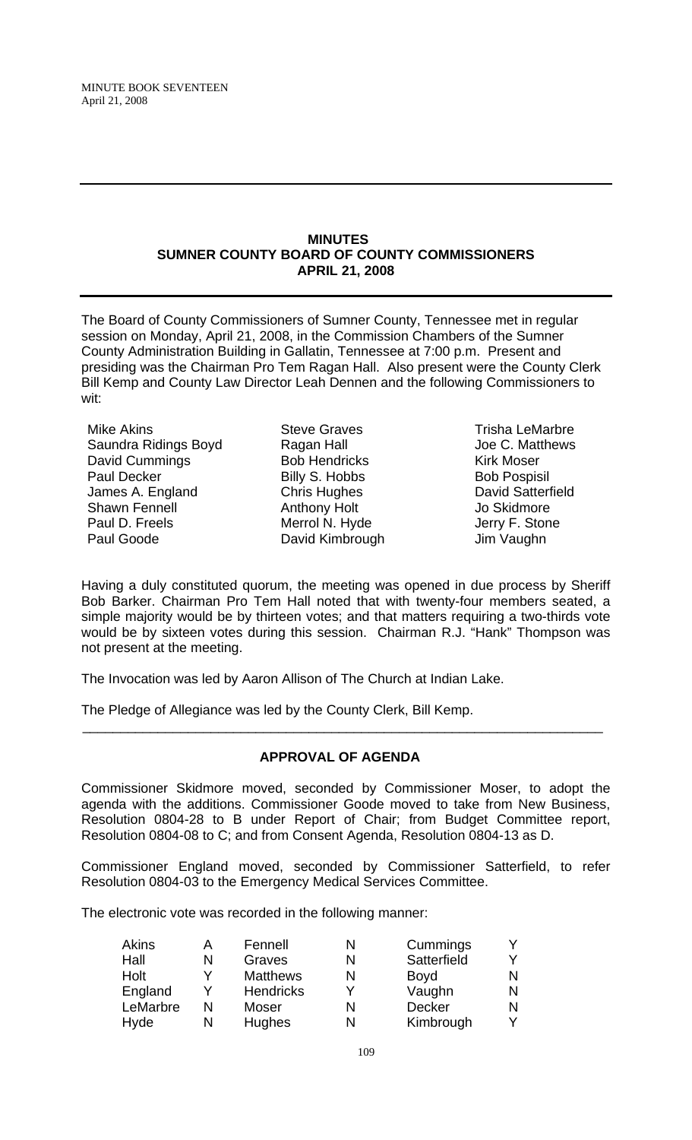#### **MINUTES SUMNER COUNTY BOARD OF COUNTY COMMISSIONERS APRIL 21, 2008**

The Board of County Commissioners of Sumner County, Tennessee met in regular session on Monday, April 21, 2008, in the Commission Chambers of the Sumner County Administration Building in Gallatin, Tennessee at 7:00 p.m. Present and presiding was the Chairman Pro Tem Ragan Hall. Also present were the County Clerk Bill Kemp and County Law Director Leah Dennen and the following Commissioners to wit:

Mike Akins Saundra Ridings Boyd David Cummings Paul Decker James A. England Shawn Fennell Paul D. Freels Paul Goode

Steve Graves Ragan Hall Bob Hendricks Billy S. Hobbs Chris Hughes Anthony Holt Merrol N. Hyde David Kimbrough

Trisha LeMarbre Joe C. Matthews Kirk Moser Bob Pospisil David Satterfield Jo Skidmore Jerry F. Stone Jim Vaughn

Having a duly constituted quorum, the meeting was opened in due process by Sheriff Bob Barker. Chairman Pro Tem Hall noted that with twenty-four members seated, a simple majority would be by thirteen votes; and that matters requiring a two-thirds vote would be by sixteen votes during this session. Chairman R.J. "Hank" Thompson was not present at the meeting.

The Invocation was led by Aaron Allison of The Church at Indian Lake.

The Pledge of Allegiance was led by the County Clerk, Bill Kemp.

# **APPROVAL OF AGENDA**

 $\overline{\phantom{a}}$  , and the contribution of the contribution of the contribution of the contribution of the contribution of the contribution of the contribution of the contribution of the contribution of the contribution of the

Commissioner Skidmore moved, seconded by Commissioner Moser, to adopt the agenda with the additions. Commissioner Goode moved to take from New Business, Resolution 0804-28 to B under Report of Chair; from Budget Committee report, Resolution 0804-08 to C; and from Consent Agenda, Resolution 0804-13 as D.

Commissioner England moved, seconded by Commissioner Satterfield, to refer Resolution 0804-03 to the Emergency Medical Services Committee.

The electronic vote was recorded in the following manner:

| Akins    | А | Fennell          | N | Cummings    |   |
|----------|---|------------------|---|-------------|---|
| Hall     | N | Graves           |   | Satterfield |   |
| Holt     | v | <b>Matthews</b>  |   | <b>Boyd</b> | N |
| England  |   | <b>Hendricks</b> |   | Vaughn      | N |
| LeMarbre | N | Moser            |   | Decker      | N |
| Hyde     | N | <b>Hughes</b>    | N | Kimbrough   |   |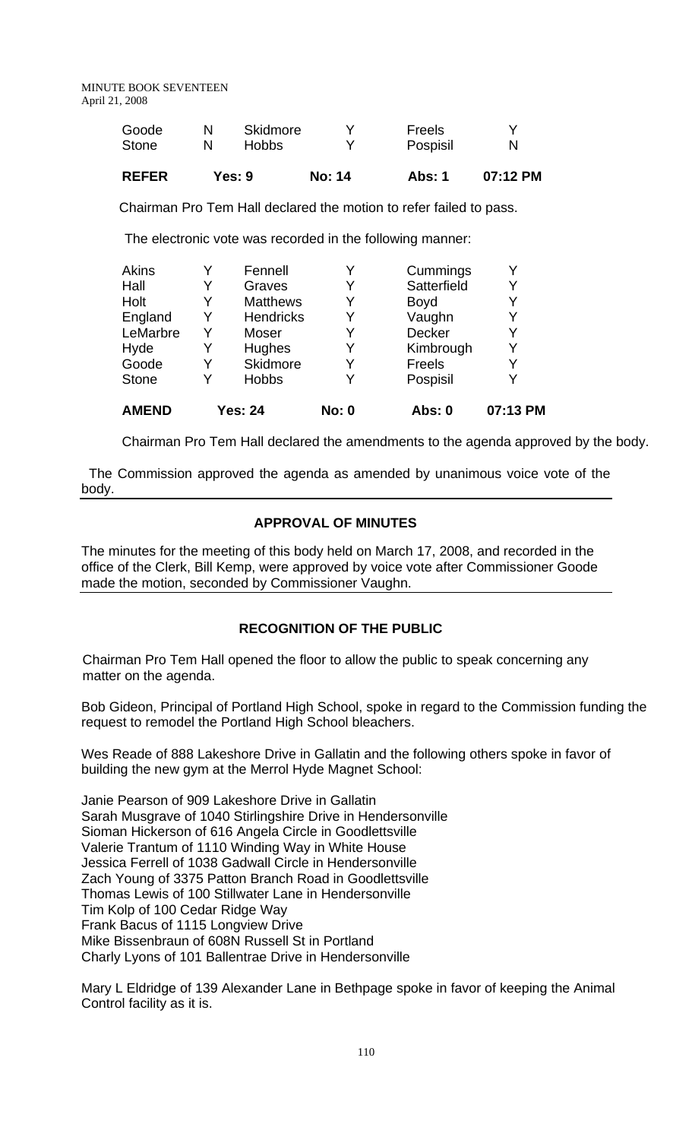| Goode        | Skidmore | Freels   |   |
|--------------|----------|----------|---|
| <b>Stone</b> | Hobbs    | Pospisil | N |
|              |          |          |   |

**REFER Yes: 9 No: 14 Abs: 1 07:12 PM**

Chairman Pro Tem Hall declared the motion to refer failed to pass.

The electronic vote was recorded in the following manner:

| <b>AMEND</b> |   | <b>Yes: 24</b>   | <b>No: 0</b> | Abs: 0        | 07:13 PM |
|--------------|---|------------------|--------------|---------------|----------|
| <b>Stone</b> |   | <b>Hobbs</b>     | Y            | Pospisil      |          |
| Goode        | Y | Skidmore         | Y            | Freels        | Y        |
| Hyde         |   | Hughes           | Y            | Kimbrough     | Y        |
| LeMarbre     | Y | Moser            | Y            | <b>Decker</b> |          |
| England      | Y | <b>Hendricks</b> | Y            | Vaughn        | Y        |
| Holt         | Y | <b>Matthews</b>  | Y            | <b>Boyd</b>   |          |
| Hall         |   | Graves           | Y            | Satterfield   | Y        |
| Akins        |   | Fennell          | Y            | Cummings      |          |
|              |   |                  |              |               |          |

Chairman Pro Tem Hall declared the amendments to the agenda approved by the body.

 The Commission approved the agenda as amended by unanimous voice vote of the body.

# **APPROVAL OF MINUTES**

The minutes for the meeting of this body held on March 17, 2008, and recorded in the office of the Clerk, Bill Kemp, were approved by voice vote after Commissioner Goode made the motion, seconded by Commissioner Vaughn.

# **RECOGNITION OF THE PUBLIC**

 Chairman Pro Tem Hall opened the floor to allow the public to speak concerning any matter on the agenda.

Bob Gideon, Principal of Portland High School, spoke in regard to the Commission funding the request to remodel the Portland High School bleachers.

Wes Reade of 888 Lakeshore Drive in Gallatin and the following others spoke in favor of building the new gym at the Merrol Hyde Magnet School:

Janie Pearson of 909 Lakeshore Drive in Gallatin Sarah Musgrave of 1040 Stirlingshire Drive in Hendersonville Sioman Hickerson of 616 Angela Circle in Goodlettsville Valerie Trantum of 1110 Winding Way in White House Jessica Ferrell of 1038 Gadwall Circle in Hendersonville Zach Young of 3375 Patton Branch Road in Goodlettsville Thomas Lewis of 100 Stillwater Lane in Hendersonville Tim Kolp of 100 Cedar Ridge Way Frank Bacus of 1115 Longview Drive Mike Bissenbraun of 608N Russell St in Portland Charly Lyons of 101 Ballentrae Drive in Hendersonville

Mary L Eldridge of 139 Alexander Lane in Bethpage spoke in favor of keeping the Animal Control facility as it is.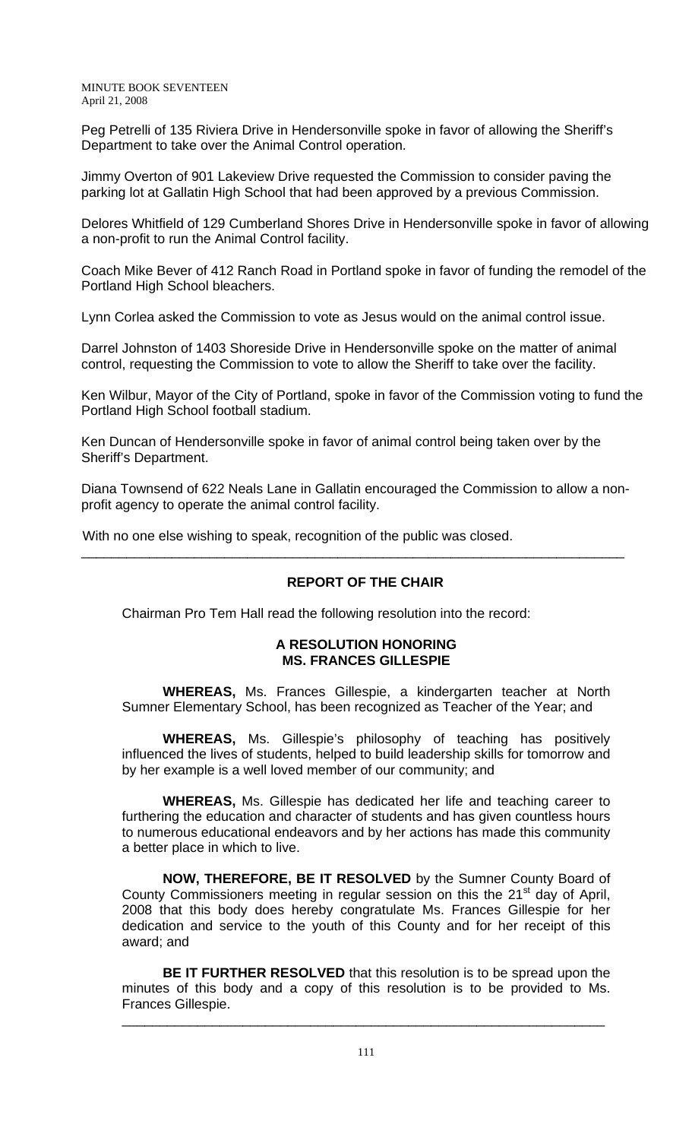Peg Petrelli of 135 Riviera Drive in Hendersonville spoke in favor of allowing the Sheriff's Department to take over the Animal Control operation.

Jimmy Overton of 901 Lakeview Drive requested the Commission to consider paving the parking lot at Gallatin High School that had been approved by a previous Commission.

Delores Whitfield of 129 Cumberland Shores Drive in Hendersonville spoke in favor of allowing a non-profit to run the Animal Control facility.

Coach Mike Bever of 412 Ranch Road in Portland spoke in favor of funding the remodel of the Portland High School bleachers.

Lynn Corlea asked the Commission to vote as Jesus would on the animal control issue.

Darrel Johnston of 1403 Shoreside Drive in Hendersonville spoke on the matter of animal control, requesting the Commission to vote to allow the Sheriff to take over the facility.

Ken Wilbur, Mayor of the City of Portland, spoke in favor of the Commission voting to fund the Portland High School football stadium.

Ken Duncan of Hendersonville spoke in favor of animal control being taken over by the Sheriff's Department.

Diana Townsend of 622 Neals Lane in Gallatin encouraged the Commission to allow a nonprofit agency to operate the animal control facility.

\_\_\_\_\_\_\_\_\_\_\_\_\_\_\_\_\_\_\_\_\_\_\_\_\_\_\_\_\_\_\_\_\_\_\_\_\_\_\_\_\_\_\_\_\_\_\_\_\_\_\_\_\_\_\_\_\_\_\_\_\_\_\_\_\_\_\_\_\_\_\_\_

With no one else wishing to speak, recognition of the public was closed.

# **REPORT OF THE CHAIR**

Chairman Pro Tem Hall read the following resolution into the record:

#### **A RESOLUTION HONORING MS. FRANCES GILLESPIE**

 **WHEREAS,** Ms. Frances Gillespie, a kindergarten teacher at North Sumner Elementary School, has been recognized as Teacher of the Year; and

**WHEREAS,** Ms. Gillespie's philosophy of teaching has positively influenced the lives of students, helped to build leadership skills for tomorrow and by her example is a well loved member of our community; and

**WHEREAS,** Ms. Gillespie has dedicated her life and teaching career to furthering the education and character of students and has given countless hours to numerous educational endeavors and by her actions has made this community a better place in which to live.

**NOW, THEREFORE, BE IT RESOLVED** by the Sumner County Board of County Commissioners meeting in regular session on this the 21<sup>st</sup> day of April, 2008 that this body does hereby congratulate Ms. Frances Gillespie for her dedication and service to the youth of this County and for her receipt of this award; and

**BE IT FURTHER RESOLVED** that this resolution is to be spread upon the minutes of this body and a copy of this resolution is to be provided to Ms. Frances Gillespie.

\_\_\_\_\_\_\_\_\_\_\_\_\_\_\_\_\_\_\_\_\_\_\_\_\_\_\_\_\_\_\_\_\_\_\_\_\_\_\_\_\_\_\_\_\_\_\_\_\_\_\_\_\_\_\_\_\_\_\_\_\_\_\_\_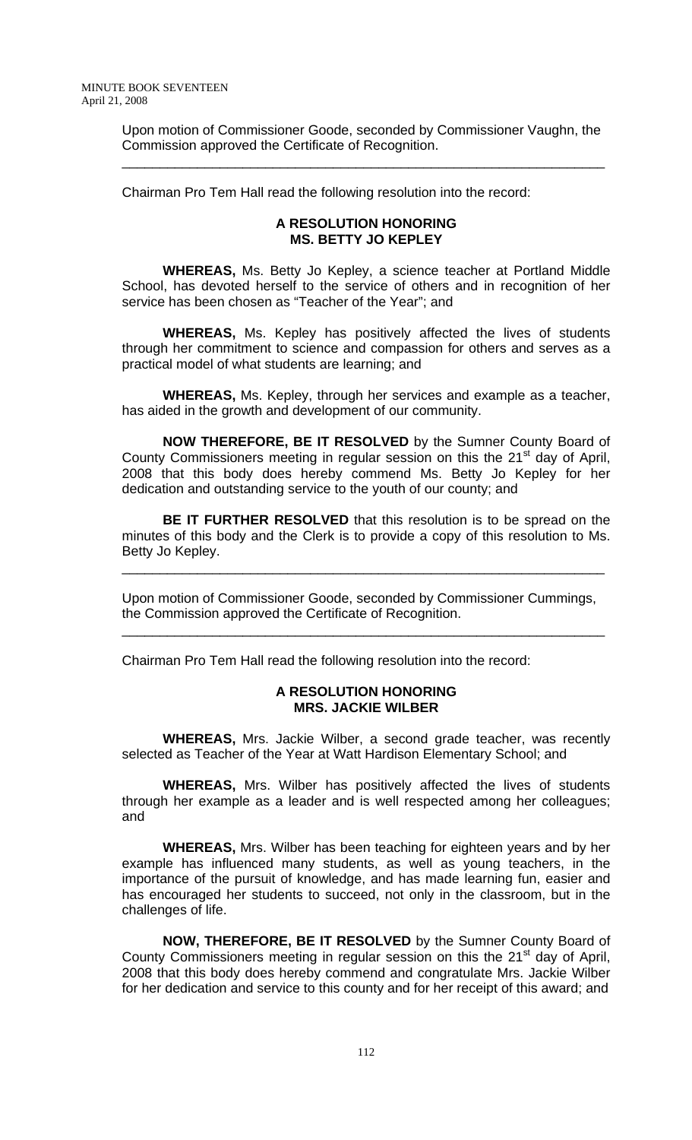Upon motion of Commissioner Goode, seconded by Commissioner Vaughn, the Commission approved the Certificate of Recognition.

\_\_\_\_\_\_\_\_\_\_\_\_\_\_\_\_\_\_\_\_\_\_\_\_\_\_\_\_\_\_\_\_\_\_\_\_\_\_\_\_\_\_\_\_\_\_\_\_\_\_\_\_\_\_\_\_\_\_\_\_\_\_\_\_

Chairman Pro Tem Hall read the following resolution into the record:

#### **A RESOLUTION HONORING MS. BETTY JO KEPLEY**

**WHEREAS,** Ms. Betty Jo Kepley, a science teacher at Portland Middle School, has devoted herself to the service of others and in recognition of her service has been chosen as "Teacher of the Year"; and

**WHEREAS,** Ms. Kepley has positively affected the lives of students through her commitment to science and compassion for others and serves as a practical model of what students are learning; and

**WHEREAS,** Ms. Kepley, through her services and example as a teacher, has aided in the growth and development of our community.

 **NOW THEREFORE, BE IT RESOLVED** by the Sumner County Board of County Commissioners meeting in regular session on this the  $21<sup>st</sup>$  day of April, 2008 that this body does hereby commend Ms. Betty Jo Kepley for her dedication and outstanding service to the youth of our county; and

**BE IT FURTHER RESOLVED** that this resolution is to be spread on the minutes of this body and the Clerk is to provide a copy of this resolution to Ms. Betty Jo Kepley.

\_\_\_\_\_\_\_\_\_\_\_\_\_\_\_\_\_\_\_\_\_\_\_\_\_\_\_\_\_\_\_\_\_\_\_\_\_\_\_\_\_\_\_\_\_\_\_\_\_\_\_\_\_\_\_\_\_\_\_\_\_\_\_\_

Upon motion of Commissioner Goode, seconded by Commissioner Cummings, the Commission approved the Certificate of Recognition.

\_\_\_\_\_\_\_\_\_\_\_\_\_\_\_\_\_\_\_\_\_\_\_\_\_\_\_\_\_\_\_\_\_\_\_\_\_\_\_\_\_\_\_\_\_\_\_\_\_\_\_\_\_\_\_\_\_\_\_\_\_\_\_\_

Chairman Pro Tem Hall read the following resolution into the record:

#### **A RESOLUTION HONORING MRS. JACKIE WILBER**

 **WHEREAS,** Mrs. Jackie Wilber, a second grade teacher, was recently selected as Teacher of the Year at Watt Hardison Elementary School; and

**WHEREAS,** Mrs. Wilber has positively affected the lives of students through her example as a leader and is well respected among her colleagues; and

**WHEREAS,** Mrs. Wilber has been teaching for eighteen years and by her example has influenced many students, as well as young teachers, in the importance of the pursuit of knowledge, and has made learning fun, easier and has encouraged her students to succeed, not only in the classroom, but in the challenges of life.

**NOW, THEREFORE, BE IT RESOLVED** by the Sumner County Board of County Commissioners meeting in regular session on this the 21<sup>st</sup> day of April, 2008 that this body does hereby commend and congratulate Mrs. Jackie Wilber for her dedication and service to this county and for her receipt of this award; and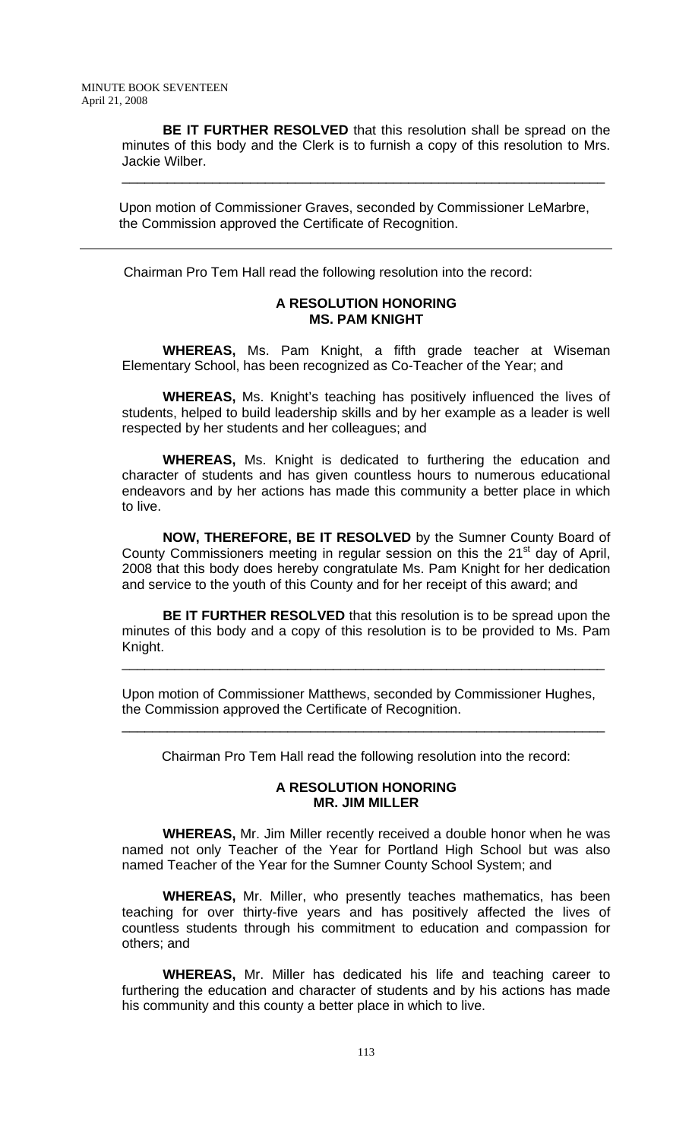**BE IT FURTHER RESOLVED** that this resolution shall be spread on the minutes of this body and the Clerk is to furnish a copy of this resolution to Mrs. Jackie Wilber.

\_\_\_\_\_\_\_\_\_\_\_\_\_\_\_\_\_\_\_\_\_\_\_\_\_\_\_\_\_\_\_\_\_\_\_\_\_\_\_\_\_\_\_\_\_\_\_\_\_\_\_\_\_\_\_\_\_\_\_\_\_\_\_\_

 Upon motion of Commissioner Graves, seconded by Commissioner LeMarbre, the Commission approved the Certificate of Recognition.

Chairman Pro Tem Hall read the following resolution into the record:

#### **A RESOLUTION HONORING MS. PAM KNIGHT**

 **WHEREAS,** Ms. Pam Knight, a fifth grade teacher at Wiseman Elementary School, has been recognized as Co-Teacher of the Year; and

**WHEREAS,** Ms. Knight's teaching has positively influenced the lives of students, helped to build leadership skills and by her example as a leader is well respected by her students and her colleagues; and

**WHEREAS,** Ms. Knight is dedicated to furthering the education and character of students and has given countless hours to numerous educational endeavors and by her actions has made this community a better place in which to live.

**NOW, THEREFORE, BE IT RESOLVED** by the Sumner County Board of County Commissioners meeting in regular session on this the 21<sup>st</sup> day of April, 2008 that this body does hereby congratulate Ms. Pam Knight for her dedication and service to the youth of this County and for her receipt of this award; and

**BE IT FURTHER RESOLVED** that this resolution is to be spread upon the minutes of this body and a copy of this resolution is to be provided to Ms. Pam Knight.

\_\_\_\_\_\_\_\_\_\_\_\_\_\_\_\_\_\_\_\_\_\_\_\_\_\_\_\_\_\_\_\_\_\_\_\_\_\_\_\_\_\_\_\_\_\_\_\_\_\_\_\_\_\_\_\_\_\_\_\_\_\_\_\_

Upon motion of Commissioner Matthews, seconded by Commissioner Hughes, the Commission approved the Certificate of Recognition.

Chairman Pro Tem Hall read the following resolution into the record:

\_\_\_\_\_\_\_\_\_\_\_\_\_\_\_\_\_\_\_\_\_\_\_\_\_\_\_\_\_\_\_\_\_\_\_\_\_\_\_\_\_\_\_\_\_\_\_\_\_\_\_\_\_\_\_\_\_\_\_\_\_\_\_\_

#### **A RESOLUTION HONORING MR. JIM MILLER**

**WHEREAS,** Mr. Jim Miller recently received a double honor when he was named not only Teacher of the Year for Portland High School but was also named Teacher of the Year for the Sumner County School System; and

**WHEREAS,** Mr. Miller, who presently teaches mathematics, has been teaching for over thirty-five years and has positively affected the lives of countless students through his commitment to education and compassion for others; and

**WHEREAS,** Mr. Miller has dedicated his life and teaching career to furthering the education and character of students and by his actions has made his community and this county a better place in which to live.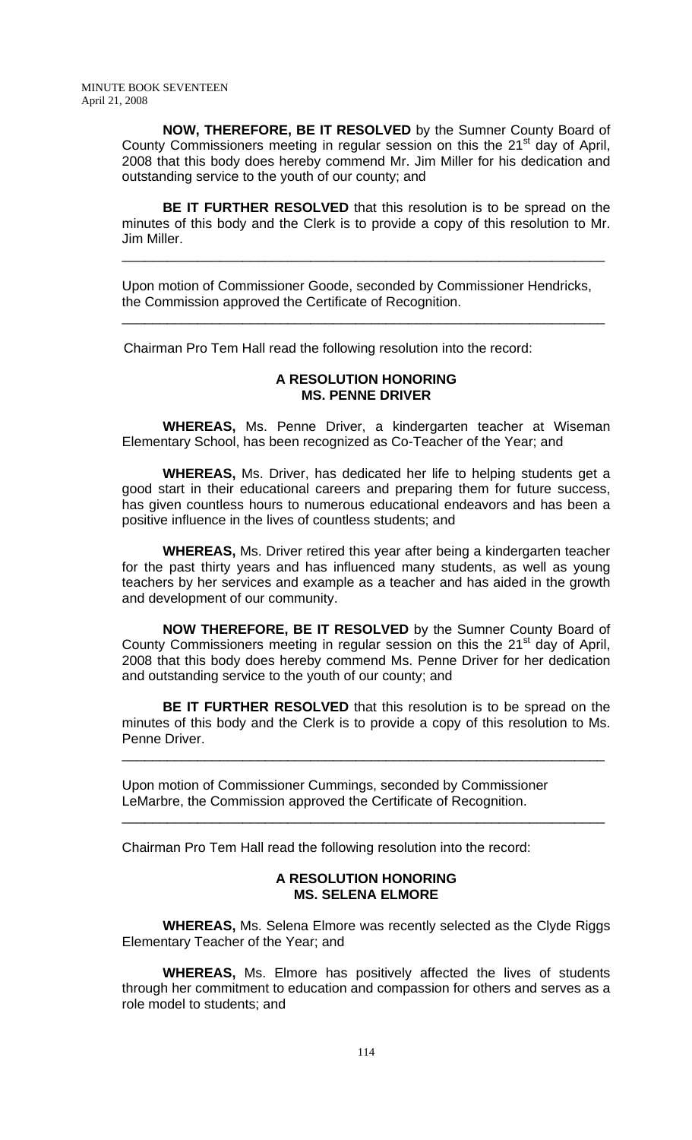**NOW, THEREFORE, BE IT RESOLVED** by the Sumner County Board of County Commissioners meeting in regular session on this the 21<sup>st</sup> day of April, 2008 that this body does hereby commend Mr. Jim Miller for his dedication and outstanding service to the youth of our county; and

**BE IT FURTHER RESOLVED** that this resolution is to be spread on the minutes of this body and the Clerk is to provide a copy of this resolution to Mr. Jim Miller.

\_\_\_\_\_\_\_\_\_\_\_\_\_\_\_\_\_\_\_\_\_\_\_\_\_\_\_\_\_\_\_\_\_\_\_\_\_\_\_\_\_\_\_\_\_\_\_\_\_\_\_\_\_\_\_\_\_\_\_\_\_\_\_\_

Upon motion of Commissioner Goode, seconded by Commissioner Hendricks, the Commission approved the Certificate of Recognition.

\_\_\_\_\_\_\_\_\_\_\_\_\_\_\_\_\_\_\_\_\_\_\_\_\_\_\_\_\_\_\_\_\_\_\_\_\_\_\_\_\_\_\_\_\_\_\_\_\_\_\_\_\_\_\_\_\_\_\_\_\_\_\_\_

Chairman Pro Tem Hall read the following resolution into the record:

### **A RESOLUTION HONORING MS. PENNE DRIVER**

**WHEREAS,** Ms. Penne Driver, a kindergarten teacher at Wiseman Elementary School, has been recognized as Co-Teacher of the Year; and

**WHEREAS,** Ms. Driver, has dedicated her life to helping students get a good start in their educational careers and preparing them for future success, has given countless hours to numerous educational endeavors and has been a positive influence in the lives of countless students; and

**WHEREAS,** Ms. Driver retired this year after being a kindergarten teacher for the past thirty years and has influenced many students, as well as young teachers by her services and example as a teacher and has aided in the growth and development of our community.

 **NOW THEREFORE, BE IT RESOLVED** by the Sumner County Board of County Commissioners meeting in regular session on this the 21<sup>st</sup> day of April, 2008 that this body does hereby commend Ms. Penne Driver for her dedication and outstanding service to the youth of our county; and

**BE IT FURTHER RESOLVED** that this resolution is to be spread on the minutes of this body and the Clerk is to provide a copy of this resolution to Ms. Penne Driver.

\_\_\_\_\_\_\_\_\_\_\_\_\_\_\_\_\_\_\_\_\_\_\_\_\_\_\_\_\_\_\_\_\_\_\_\_\_\_\_\_\_\_\_\_\_\_\_\_\_\_\_\_\_\_\_\_\_\_\_\_\_\_\_\_

\_\_\_\_\_\_\_\_\_\_\_\_\_\_\_\_\_\_\_\_\_\_\_\_\_\_\_\_\_\_\_\_\_\_\_\_\_\_\_\_\_\_\_\_\_\_\_\_\_\_\_\_\_\_\_\_\_\_\_\_\_\_\_\_

Upon motion of Commissioner Cummings, seconded by Commissioner LeMarbre, the Commission approved the Certificate of Recognition.

Chairman Pro Tem Hall read the following resolution into the record:

### **A RESOLUTION HONORING MS. SELENA ELMORE**

 **WHEREAS,** Ms. Selena Elmore was recently selected as the Clyde Riggs Elementary Teacher of the Year; and

**WHEREAS,** Ms. Elmore has positively affected the lives of students through her commitment to education and compassion for others and serves as a role model to students; and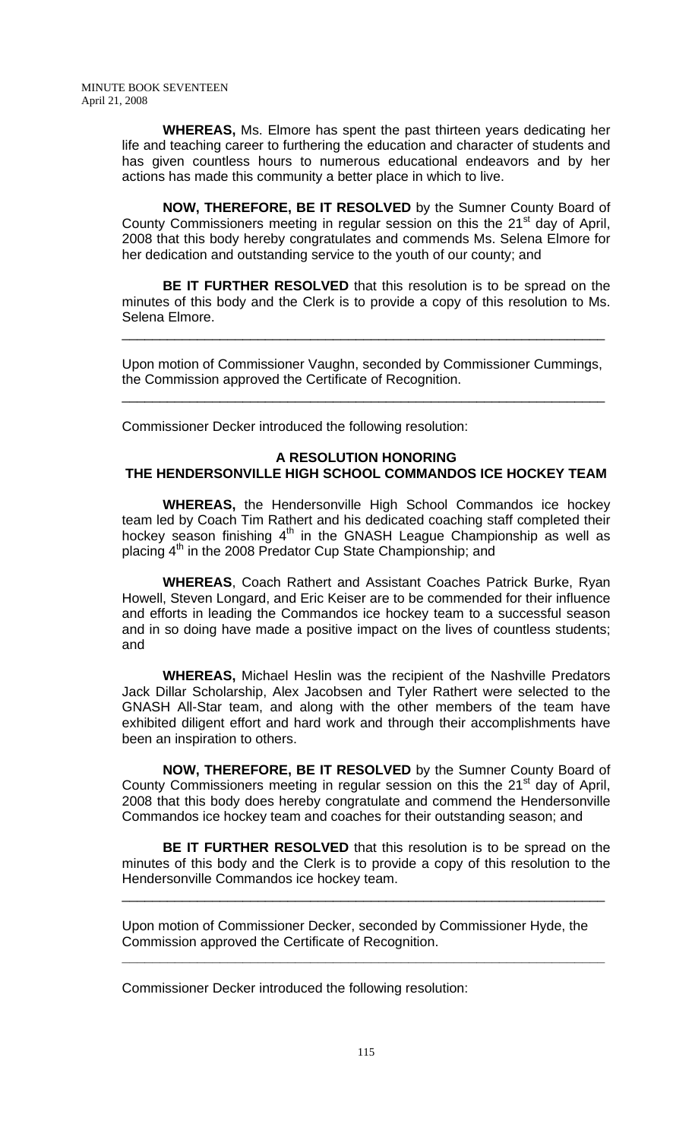**WHEREAS,** Ms. Elmore has spent the past thirteen years dedicating her life and teaching career to furthering the education and character of students and has given countless hours to numerous educational endeavors and by her actions has made this community a better place in which to live.

**NOW, THEREFORE, BE IT RESOLVED** by the Sumner County Board of County Commissioners meeting in regular session on this the 21<sup>st</sup> day of April, 2008 that this body hereby congratulates and commends Ms. Selena Elmore for her dedication and outstanding service to the youth of our county; and

**BE IT FURTHER RESOLVED** that this resolution is to be spread on the minutes of this body and the Clerk is to provide a copy of this resolution to Ms. Selena Elmore.

\_\_\_\_\_\_\_\_\_\_\_\_\_\_\_\_\_\_\_\_\_\_\_\_\_\_\_\_\_\_\_\_\_\_\_\_\_\_\_\_\_\_\_\_\_\_\_\_\_\_\_\_\_\_\_\_\_\_\_\_\_\_\_\_

Upon motion of Commissioner Vaughn, seconded by Commissioner Cummings, the Commission approved the Certificate of Recognition.

\_\_\_\_\_\_\_\_\_\_\_\_\_\_\_\_\_\_\_\_\_\_\_\_\_\_\_\_\_\_\_\_\_\_\_\_\_\_\_\_\_\_\_\_\_\_\_\_\_\_\_\_\_\_\_\_\_\_\_\_\_\_\_\_

Commissioner Decker introduced the following resolution:

# **A RESOLUTION HONORING THE HENDERSONVILLE HIGH SCHOOL COMMANDOS ICE HOCKEY TEAM**

**WHEREAS,** the Hendersonville High School Commandos ice hockey team led by Coach Tim Rathert and his dedicated coaching staff completed their hockey season finishing  $4<sup>th</sup>$  in the GNASH League Championship as well as placing  $4<sup>th</sup>$  in the 2008 Predator Cup State Championship; and

**WHEREAS**, Coach Rathert and Assistant Coaches Patrick Burke, Ryan Howell, Steven Longard, and Eric Keiser are to be commended for their influence and efforts in leading the Commandos ice hockey team to a successful season and in so doing have made a positive impact on the lives of countless students; and

**WHEREAS,** Michael Heslin was the recipient of the Nashville Predators Jack Dillar Scholarship, Alex Jacobsen and Tyler Rathert were selected to the GNASH All-Star team, and along with the other members of the team have exhibited diligent effort and hard work and through their accomplishments have been an inspiration to others.

**NOW, THEREFORE, BE IT RESOLVED** by the Sumner County Board of County Commissioners meeting in regular session on this the 21<sup>st</sup> day of April, 2008 that this body does hereby congratulate and commend the Hendersonville Commandos ice hockey team and coaches for their outstanding season; and

**BE IT FURTHER RESOLVED** that this resolution is to be spread on the minutes of this body and the Clerk is to provide a copy of this resolution to the Hendersonville Commandos ice hockey team.

\_\_\_\_\_\_\_\_\_\_\_\_\_\_\_\_\_\_\_\_\_\_\_\_\_\_\_\_\_\_\_\_\_\_\_\_\_\_\_\_\_\_\_\_\_\_\_\_\_\_\_\_\_\_\_\_\_\_\_\_\_\_\_\_

**\_\_\_\_\_\_\_\_\_\_\_\_\_\_\_\_\_\_\_\_\_\_\_\_\_\_\_\_\_\_\_\_\_\_\_\_\_\_\_\_\_\_\_\_\_\_\_\_\_\_\_\_\_\_\_\_\_\_\_\_\_\_\_\_** 

Upon motion of Commissioner Decker, seconded by Commissioner Hyde, the Commission approved the Certificate of Recognition.

Commissioner Decker introduced the following resolution: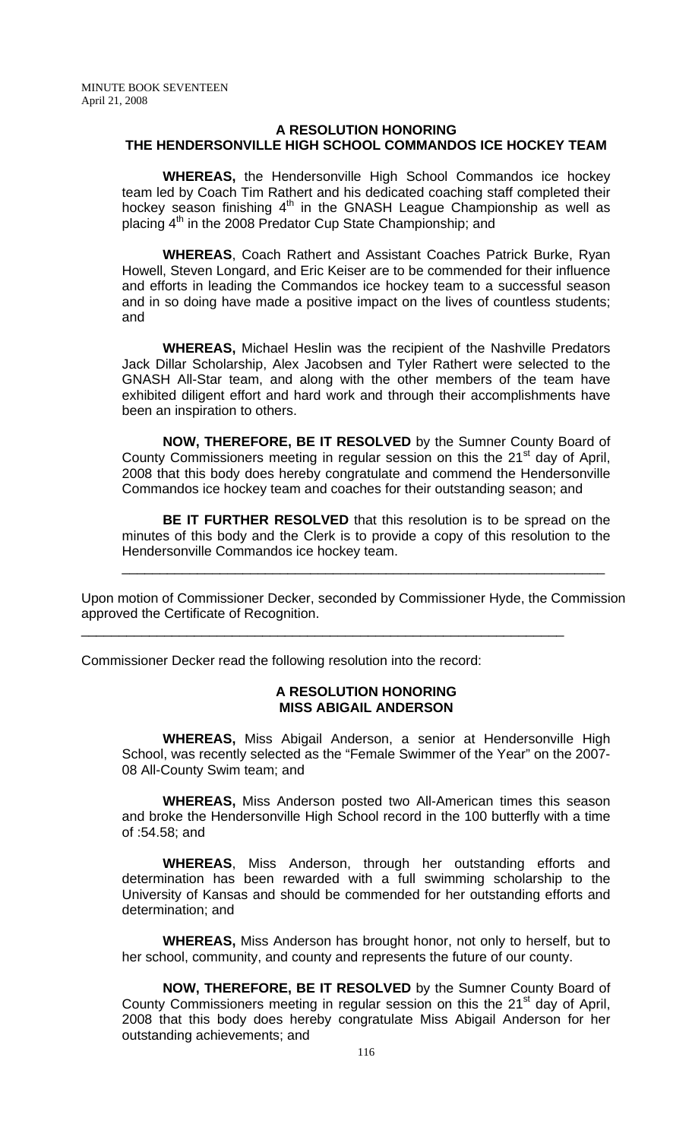## **A RESOLUTION HONORING THE HENDERSONVILLE HIGH SCHOOL COMMANDOS ICE HOCKEY TEAM**

**WHEREAS,** the Hendersonville High School Commandos ice hockey team led by Coach Tim Rathert and his dedicated coaching staff completed their hockey season finishing  $4<sup>th</sup>$  in the GNASH League Championship as well as placing  $4<sup>th</sup>$  in the 2008 Predator Cup State Championship; and

**WHEREAS**, Coach Rathert and Assistant Coaches Patrick Burke, Ryan Howell, Steven Longard, and Eric Keiser are to be commended for their influence and efforts in leading the Commandos ice hockey team to a successful season and in so doing have made a positive impact on the lives of countless students; and

**WHEREAS,** Michael Heslin was the recipient of the Nashville Predators Jack Dillar Scholarship, Alex Jacobsen and Tyler Rathert were selected to the GNASH All-Star team, and along with the other members of the team have exhibited diligent effort and hard work and through their accomplishments have been an inspiration to others.

**NOW, THEREFORE, BE IT RESOLVED** by the Sumner County Board of County Commissioners meeting in regular session on this the  $21<sup>st</sup>$  day of April, 2008 that this body does hereby congratulate and commend the Hendersonville Commandos ice hockey team and coaches for their outstanding season; and

**BE IT FURTHER RESOLVED** that this resolution is to be spread on the minutes of this body and the Clerk is to provide a copy of this resolution to the Hendersonville Commandos ice hockey team.

\_\_\_\_\_\_\_\_\_\_\_\_\_\_\_\_\_\_\_\_\_\_\_\_\_\_\_\_\_\_\_\_\_\_\_\_\_\_\_\_\_\_\_\_\_\_\_\_\_\_\_\_\_\_\_\_\_\_\_\_\_\_\_\_

Upon motion of Commissioner Decker, seconded by Commissioner Hyde, the Commission approved the Certificate of Recognition.

\_\_\_\_\_\_\_\_\_\_\_\_\_\_\_\_\_\_\_\_\_\_\_\_\_\_\_\_\_\_\_\_\_\_\_\_\_\_\_\_\_\_\_\_\_\_\_\_\_\_\_\_\_\_\_\_\_\_\_\_\_\_\_\_

Commissioner Decker read the following resolution into the record:

#### **A RESOLUTION HONORING MISS ABIGAIL ANDERSON**

 **WHEREAS,** Miss Abigail Anderson, a senior at Hendersonville High School, was recently selected as the "Female Swimmer of the Year" on the 2007- 08 All-County Swim team; and

**WHEREAS,** Miss Anderson posted two All-American times this season and broke the Hendersonville High School record in the 100 butterfly with a time of :54.58; and

**WHEREAS**, Miss Anderson, through her outstanding efforts and determination has been rewarded with a full swimming scholarship to the University of Kansas and should be commended for her outstanding efforts and determination; and

**WHEREAS,** Miss Anderson has brought honor, not only to herself, but to her school, community, and county and represents the future of our county.

**NOW, THEREFORE, BE IT RESOLVED** by the Sumner County Board of County Commissioners meeting in regular session on this the  $21<sup>st</sup>$  day of April, 2008 that this body does hereby congratulate Miss Abigail Anderson for her outstanding achievements; and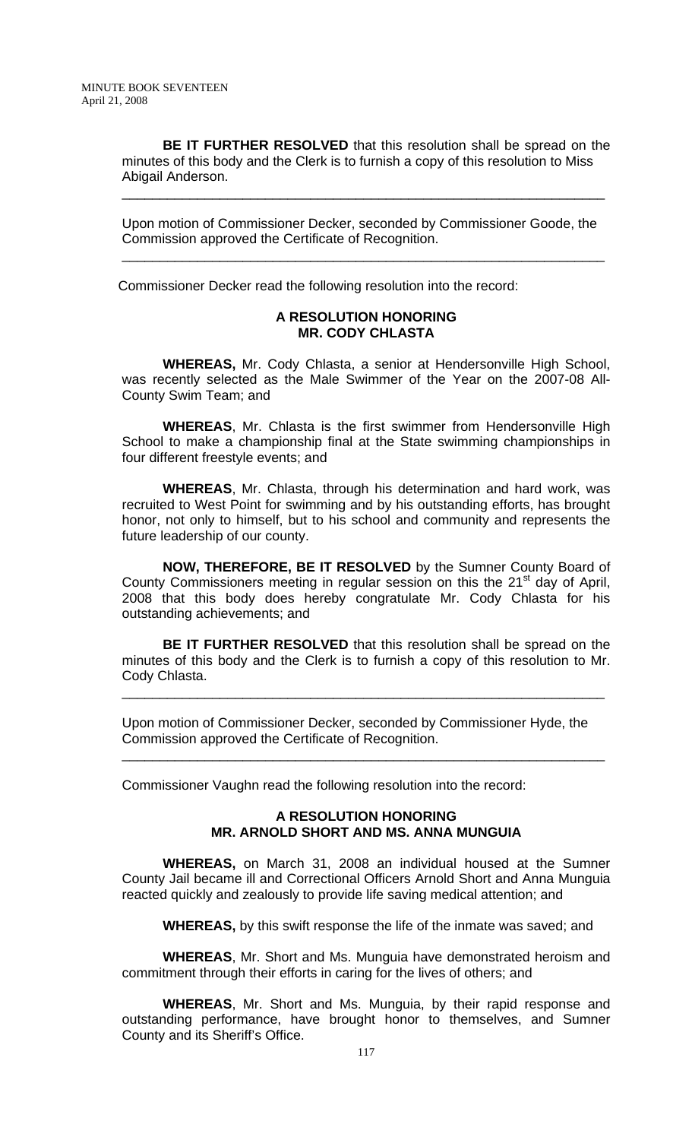**BE IT FURTHER RESOLVED** that this resolution shall be spread on the minutes of this body and the Clerk is to furnish a copy of this resolution to Miss Abigail Anderson.

\_\_\_\_\_\_\_\_\_\_\_\_\_\_\_\_\_\_\_\_\_\_\_\_\_\_\_\_\_\_\_\_\_\_\_\_\_\_\_\_\_\_\_\_\_\_\_\_\_\_\_\_\_\_\_\_\_\_\_\_\_\_\_\_

Upon motion of Commissioner Decker, seconded by Commissioner Goode, the Commission approved the Certificate of Recognition.

\_\_\_\_\_\_\_\_\_\_\_\_\_\_\_\_\_\_\_\_\_\_\_\_\_\_\_\_\_\_\_\_\_\_\_\_\_\_\_\_\_\_\_\_\_\_\_\_\_\_\_\_\_\_\_\_\_\_\_\_\_\_\_\_

Commissioner Decker read the following resolution into the record:

#### **A RESOLUTION HONORING MR. CODY CHLASTA**

 **WHEREAS,** Mr. Cody Chlasta, a senior at Hendersonville High School, was recently selected as the Male Swimmer of the Year on the 2007-08 All-County Swim Team; and

**WHEREAS**, Mr. Chlasta is the first swimmer from Hendersonville High School to make a championship final at the State swimming championships in four different freestyle events; and

**WHEREAS**, Mr. Chlasta, through his determination and hard work, was recruited to West Point for swimming and by his outstanding efforts, has brought honor, not only to himself, but to his school and community and represents the future leadership of our county.

**NOW, THEREFORE, BE IT RESOLVED** by the Sumner County Board of County Commissioners meeting in regular session on this the 21<sup>st</sup> day of April, 2008 that this body does hereby congratulate Mr. Cody Chlasta for his outstanding achievements; and

**BE IT FURTHER RESOLVED** that this resolution shall be spread on the minutes of this body and the Clerk is to furnish a copy of this resolution to Mr. Cody Chlasta.

\_\_\_\_\_\_\_\_\_\_\_\_\_\_\_\_\_\_\_\_\_\_\_\_\_\_\_\_\_\_\_\_\_\_\_\_\_\_\_\_\_\_\_\_\_\_\_\_\_\_\_\_\_\_\_\_\_\_\_\_\_\_\_\_

\_\_\_\_\_\_\_\_\_\_\_\_\_\_\_\_\_\_\_\_\_\_\_\_\_\_\_\_\_\_\_\_\_\_\_\_\_\_\_\_\_\_\_\_\_\_\_\_\_\_\_\_\_\_\_\_\_\_\_\_\_\_\_\_

Upon motion of Commissioner Decker, seconded by Commissioner Hyde, the Commission approved the Certificate of Recognition.

Commissioner Vaughn read the following resolution into the record:

# **A RESOLUTION HONORING MR. ARNOLD SHORT AND MS. ANNA MUNGUIA**

 **WHEREAS,** on March 31, 2008 an individual housed at the Sumner County Jail became ill and Correctional Officers Arnold Short and Anna Munguia reacted quickly and zealously to provide life saving medical attention; and

**WHEREAS,** by this swift response the life of the inmate was saved; and

**WHEREAS**, Mr. Short and Ms. Munguia have demonstrated heroism and commitment through their efforts in caring for the lives of others; and

**WHEREAS**, Mr. Short and Ms. Munguia, by their rapid response and outstanding performance, have brought honor to themselves, and Sumner County and its Sheriff's Office.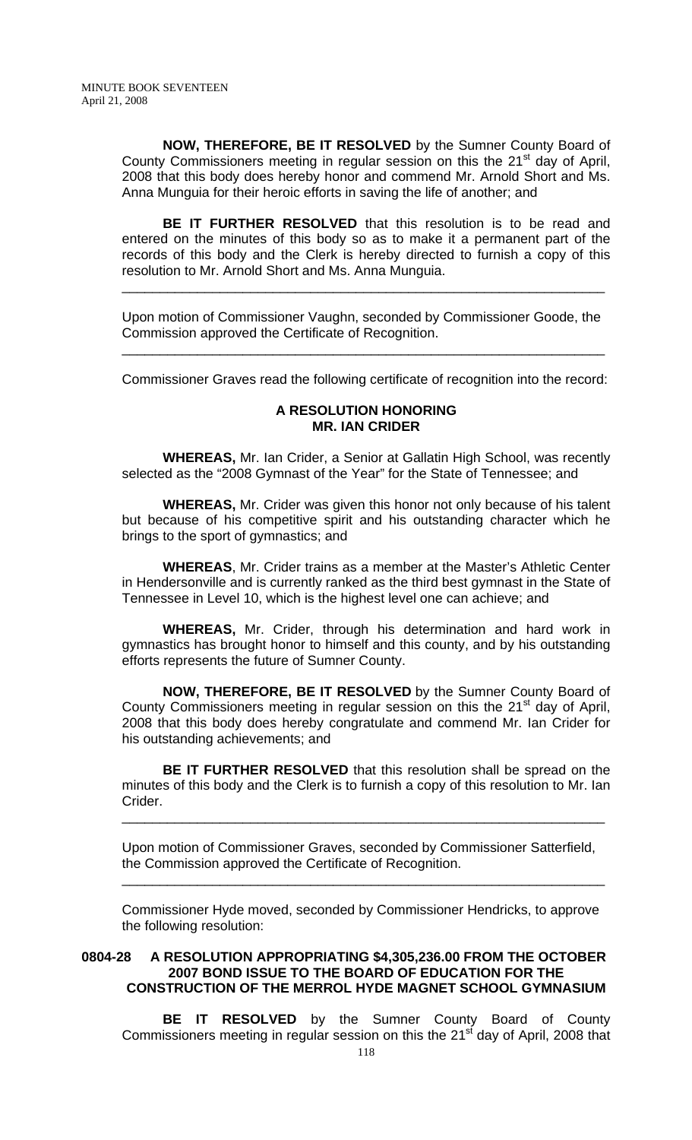**NOW, THEREFORE, BE IT RESOLVED** by the Sumner County Board of County Commissioners meeting in regular session on this the 21<sup>st</sup> day of April, 2008 that this body does hereby honor and commend Mr. Arnold Short and Ms. Anna Munguia for their heroic efforts in saving the life of another; and

**BE IT FURTHER RESOLVED** that this resolution is to be read and entered on the minutes of this body so as to make it a permanent part of the records of this body and the Clerk is hereby directed to furnish a copy of this resolution to Mr. Arnold Short and Ms. Anna Munguia.

Upon motion of Commissioner Vaughn, seconded by Commissioner Goode, the Commission approved the Certificate of Recognition.

\_\_\_\_\_\_\_\_\_\_\_\_\_\_\_\_\_\_\_\_\_\_\_\_\_\_\_\_\_\_\_\_\_\_\_\_\_\_\_\_\_\_\_\_\_\_\_\_\_\_\_\_\_\_\_\_\_\_\_\_\_\_\_\_

Commissioner Graves read the following certificate of recognition into the record:

\_\_\_\_\_\_\_\_\_\_\_\_\_\_\_\_\_\_\_\_\_\_\_\_\_\_\_\_\_\_\_\_\_\_\_\_\_\_\_\_\_\_\_\_\_\_\_\_\_\_\_\_\_\_\_\_\_\_\_\_\_\_\_\_

#### **A RESOLUTION HONORING MR. IAN CRIDER**

 **WHEREAS,** Mr. Ian Crider, a Senior at Gallatin High School, was recently selected as the "2008 Gymnast of the Year" for the State of Tennessee; and

**WHEREAS,** Mr. Crider was given this honor not only because of his talent but because of his competitive spirit and his outstanding character which he brings to the sport of gymnastics; and

**WHEREAS**, Mr. Crider trains as a member at the Master's Athletic Center in Hendersonville and is currently ranked as the third best gymnast in the State of Tennessee in Level 10, which is the highest level one can achieve; and

**WHEREAS,** Mr. Crider, through his determination and hard work in gymnastics has brought honor to himself and this county, and by his outstanding efforts represents the future of Sumner County.

**NOW, THEREFORE, BE IT RESOLVED** by the Sumner County Board of County Commissioners meeting in regular session on this the 21<sup>st</sup> day of April, 2008 that this body does hereby congratulate and commend Mr. Ian Crider for his outstanding achievements; and

**BE IT FURTHER RESOLVED** that this resolution shall be spread on the minutes of this body and the Clerk is to furnish a copy of this resolution to Mr. Ian Crider.

\_\_\_\_\_\_\_\_\_\_\_\_\_\_\_\_\_\_\_\_\_\_\_\_\_\_\_\_\_\_\_\_\_\_\_\_\_\_\_\_\_\_\_\_\_\_\_\_\_\_\_\_\_\_\_\_\_\_\_\_\_\_\_\_

Upon motion of Commissioner Graves, seconded by Commissioner Satterfield, the Commission approved the Certificate of Recognition.

\_\_\_\_\_\_\_\_\_\_\_\_\_\_\_\_\_\_\_\_\_\_\_\_\_\_\_\_\_\_\_\_\_\_\_\_\_\_\_\_\_\_\_\_\_\_\_\_\_\_\_\_\_\_\_\_\_\_\_\_\_\_\_\_

Commissioner Hyde moved, seconded by Commissioner Hendricks, to approve the following resolution:

# **0804-28 A RESOLUTION APPROPRIATING \$4,305,236.00 FROM THE OCTOBER 2007 BOND ISSUE TO THE BOARD OF EDUCATION FOR THE CONSTRUCTION OF THE MERROL HYDE MAGNET SCHOOL GYMNASIUM**

 **BE IT RESOLVED** by the Sumner County Board of County Commissioners meeting in regular session on this the 21<sup>st</sup> day of April, 2008 that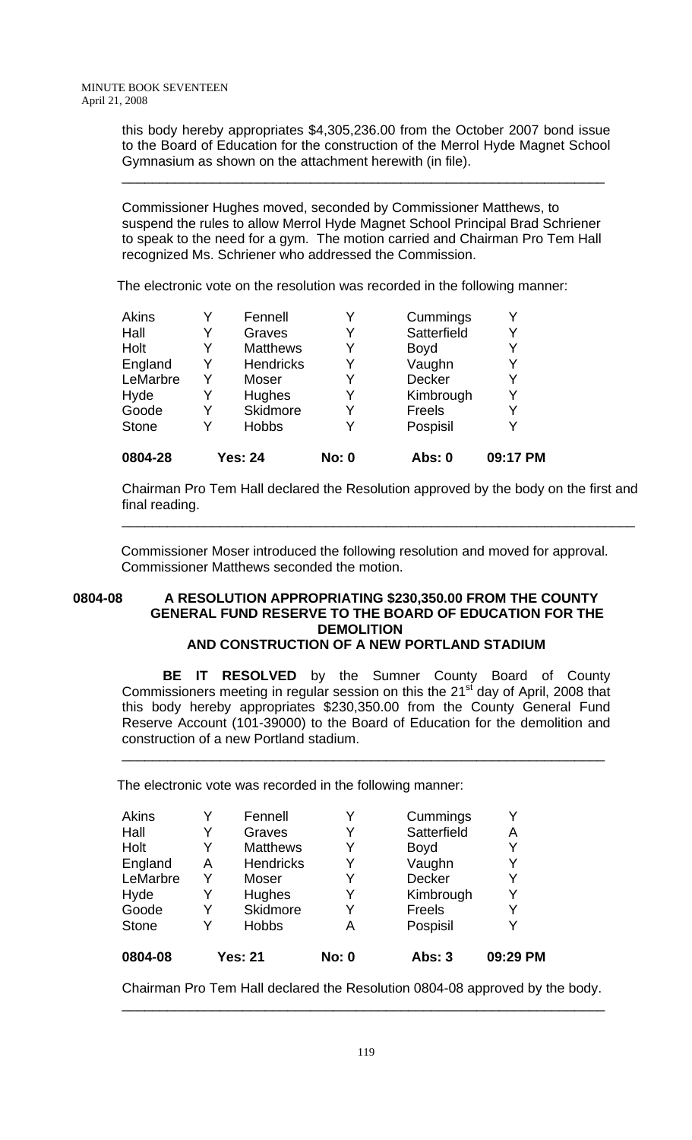this body hereby appropriates \$4,305,236.00 from the October 2007 bond issue to the Board of Education for the construction of the Merrol Hyde Magnet School Gymnasium as shown on the attachment herewith (in file).

\_\_\_\_\_\_\_\_\_\_\_\_\_\_\_\_\_\_\_\_\_\_\_\_\_\_\_\_\_\_\_\_\_\_\_\_\_\_\_\_\_\_\_\_\_\_\_\_\_\_\_\_\_\_\_\_\_\_\_\_\_\_\_\_

Commissioner Hughes moved, seconded by Commissioner Matthews, to suspend the rules to allow Merrol Hyde Magnet School Principal Brad Schriener to speak to the need for a gym. The motion carried and Chairman Pro Tem Hall recognized Ms. Schriener who addressed the Commission.

The electronic vote on the resolution was recorded in the following manner:

| Kimbrough<br>Υ<br>Freels<br>Y<br>Pospisil |
|-------------------------------------------|
|                                           |
|                                           |
|                                           |
| Decker                                    |
| Vaughn                                    |
| <b>Boyd</b>                               |
| Satterfield<br>Y                          |
| Cummings                                  |
|                                           |

Chairman Pro Tem Hall declared the Resolution approved by the body on the first and final reading.

\_\_\_\_\_\_\_\_\_\_\_\_\_\_\_\_\_\_\_\_\_\_\_\_\_\_\_\_\_\_\_\_\_\_\_\_\_\_\_\_\_\_\_\_\_\_\_\_\_\_\_\_\_\_\_\_\_\_\_\_\_\_\_\_\_\_\_\_

Commissioner Moser introduced the following resolution and moved for approval. Commissioner Matthews seconded the motion.

# **0804-08 A RESOLUTION APPROPRIATING \$230,350.00 FROM THE COUNTY GENERAL FUND RESERVE TO THE BOARD OF EDUCATION FOR THE DEMOLITION**

# **AND CONSTRUCTION OF A NEW PORTLAND STADIUM**

 **BE IT RESOLVED** by the Sumner County Board of County Commissioners meeting in regular session on this the  $21<sup>st</sup>$  day of April, 2008 that this body hereby appropriates \$230,350.00 from the County General Fund Reserve Account (101-39000) to the Board of Education for the demolition and construction of a new Portland stadium.

\_\_\_\_\_\_\_\_\_\_\_\_\_\_\_\_\_\_\_\_\_\_\_\_\_\_\_\_\_\_\_\_\_\_\_\_\_\_\_\_\_\_\_\_\_\_\_\_\_\_\_\_\_\_\_\_\_\_\_\_\_\_\_\_

The electronic vote was recorded in the following manner:

| <b>Akins</b> | Y | Fennell          |              | Cummings      |          |
|--------------|---|------------------|--------------|---------------|----------|
| Hall         | Y | Graves           | Y            | Satterfield   | А        |
| Holt         | Y | <b>Matthews</b>  |              | <b>Boyd</b>   | Y        |
| England      | A | <b>Hendricks</b> | Y            | Vaughn        | Y        |
| LeMarbre     | Y | Moser            | Y            | <b>Decker</b> | Y        |
| Hyde         | Y | Hughes           |              | Kimbrough     | Y        |
| Goode        | Y | Skidmore         | Y            | Freels        | Y        |
| <b>Stone</b> | Y | <b>Hobbs</b>     | А            | Pospisil      | Y        |
| 0804-08      |   | <b>Yes: 21</b>   | <b>No: 0</b> | <b>Abs: 3</b> | 09:29 PM |

Chairman Pro Tem Hall declared the Resolution 0804-08 approved by the body. \_\_\_\_\_\_\_\_\_\_\_\_\_\_\_\_\_\_\_\_\_\_\_\_\_\_\_\_\_\_\_\_\_\_\_\_\_\_\_\_\_\_\_\_\_\_\_\_\_\_\_\_\_\_\_\_\_\_\_\_\_\_\_\_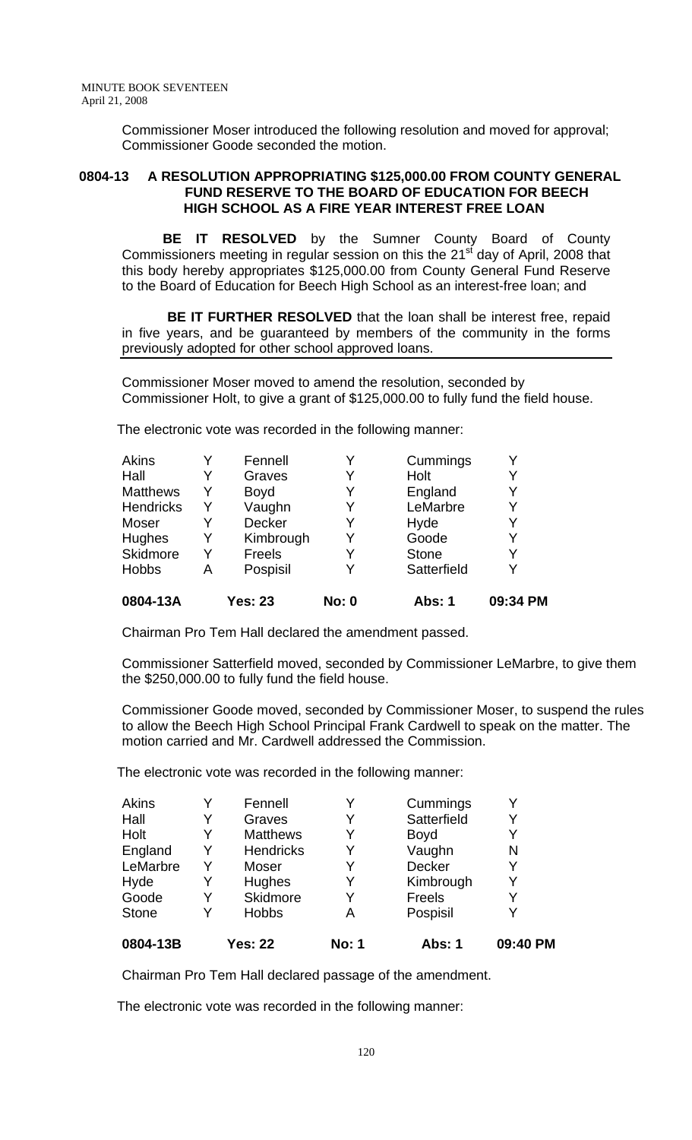Commissioner Moser introduced the following resolution and moved for approval; Commissioner Goode seconded the motion.

#### **0804-13 A RESOLUTION APPROPRIATING \$125,000.00 FROM COUNTY GENERAL FUND RESERVE TO THE BOARD OF EDUCATION FOR BEECH HIGH SCHOOL AS A FIRE YEAR INTEREST FREE LOAN**

 **BE IT RESOLVED** by the Sumner County Board of County Commissioners meeting in regular session on this the 21<sup>st</sup> day of April, 2008 that this body hereby appropriates \$125,000.00 from County General Fund Reserve to the Board of Education for Beech High School as an interest-free loan; and

 **BE IT FURTHER RESOLVED** that the loan shall be interest free, repaid in five years, and be guaranteed by members of the community in the forms previously adopted for other school approved loans.

Commissioner Moser moved to amend the resolution, seconded by Commissioner Holt, to give a grant of \$125,000.00 to fully fund the field house.

The electronic vote was recorded in the following manner:

| Akins           |   | Fennell        |              | Cummings     | Y        |
|-----------------|---|----------------|--------------|--------------|----------|
| Hall            | Y | Graves         |              | Holt         | Y        |
| <b>Matthews</b> | Y | <b>Boyd</b>    | Y            | England      | Y        |
| Hendricks       | Y | Vaughn         |              | LeMarbre     | Y        |
| Moser           |   | <b>Decker</b>  |              | Hyde         | Y        |
| Hughes          | Y | Kimbrough      | Y            | Goode        | Y        |
| Skidmore        | Y | Freels         | Y            | <b>Stone</b> | Y        |
| <b>Hobbs</b>    | А | Pospisil       |              | Satterfield  | Y        |
| 0804-13A        |   | <b>Yes: 23</b> | <b>No: 0</b> | Abs: 1       | 09:34 PM |

Chairman Pro Tem Hall declared the amendment passed.

Commissioner Satterfield moved, seconded by Commissioner LeMarbre, to give them the \$250,000.00 to fully fund the field house.

Commissioner Goode moved, seconded by Commissioner Moser, to suspend the rules to allow the Beech High School Principal Frank Cardwell to speak on the matter. The motion carried and Mr. Cardwell addressed the Commission.

The electronic vote was recorded in the following manner:

| 0804-13B     |   | <b>Yes: 22</b>   | <b>No: 1</b> | <b>Abs: 1</b> | 09:40 PM |
|--------------|---|------------------|--------------|---------------|----------|
| <b>Stone</b> | Y | <b>Hobbs</b>     | A            | Pospisil      |          |
| Goode        | Y | Skidmore         | Y            | Freels        | Y        |
| Hyde         | Y | <b>Hughes</b>    |              | Kimbrough     | Y        |
| LeMarbre     | Y | Moser            | Y            | <b>Decker</b> | Y        |
| England      | Y | <b>Hendricks</b> | Y            | Vaughn        | N        |
| Holt         | Y | <b>Matthews</b>  | Y            | <b>Boyd</b>   |          |
| Hall         | Y | Graves           |              | Satterfield   |          |
| Akins        | Y | Fennell          | Y            | Cummings      |          |
|              |   |                  |              |               |          |

Chairman Pro Tem Hall declared passage of the amendment.

The electronic vote was recorded in the following manner: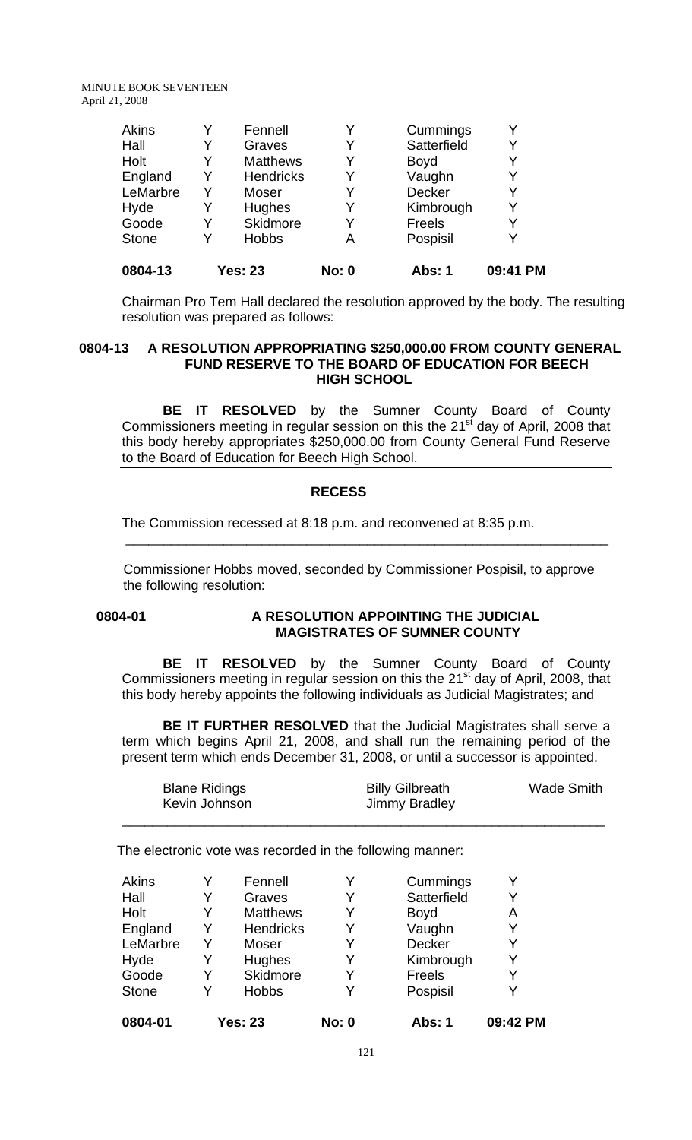| 0804-13      |   | Yes: 23          | <b>No: 0</b> | Abs: 1      | 09:41 PM |
|--------------|---|------------------|--------------|-------------|----------|
| <b>Stone</b> | Y | <b>Hobbs</b>     | Α            | Pospisil    |          |
| Goode        |   | Skidmore         | Y            | Freels      |          |
| Hyde         |   | Hughes           | Y            | Kimbrough   |          |
| LeMarbre     | Y | Moser            | Y            | Decker      |          |
| England      | Y | <b>Hendricks</b> | Y            | Vaughn      | Y        |
| Holt         | Y | <b>Matthews</b>  | Y            | <b>Boyd</b> |          |
| Hall         | Y | Graves           | Y            | Satterfield |          |
| <b>Akins</b> | V | Fennell          | Y            | Cummings    |          |

Chairman Pro Tem Hall declared the resolution approved by the body. The resulting resolution was prepared as follows:

# **0804-13 A RESOLUTION APPROPRIATING \$250,000.00 FROM COUNTY GENERAL FUND RESERVE TO THE BOARD OF EDUCATION FOR BEECH HIGH SCHOOL**

 **BE IT RESOLVED** by the Sumner County Board of County Commissioners meeting in regular session on this the 21<sup>st</sup> day of April, 2008 that this body hereby appropriates \$250,000.00 from County General Fund Reserve to the Board of Education for Beech High School.

### **RECESS**

The Commission recessed at 8:18 p.m. and reconvened at 8:35 p.m.

\_\_\_\_\_\_\_\_\_\_\_\_\_\_\_\_\_\_\_\_\_\_\_\_\_\_\_\_\_\_\_\_\_\_\_\_\_\_\_\_\_\_\_\_\_\_\_\_\_\_\_\_\_\_\_\_\_\_\_\_\_\_\_\_

Commissioner Hobbs moved, seconded by Commissioner Pospisil, to approve the following resolution:

### **0804-01 A RESOLUTION APPOINTING THE JUDICIAL MAGISTRATES OF SUMNER COUNTY**

**BE IT RESOLVED** by the Sumner County Board of County Commissioners meeting in regular session on this the 21<sup>st</sup> day of April, 2008, that this body hereby appoints the following individuals as Judicial Magistrates; and

**BE IT FURTHER RESOLVED** that the Judicial Magistrates shall serve a term which begins April 21, 2008, and shall run the remaining period of the present term which ends December 31, 2008, or until a successor is appointed.

| <b>Blane Ridings</b><br>Kevin Johnson | <b>Billy Gilbreath</b><br>Jimmy Bradley | <b>Wade Smith</b> |
|---------------------------------------|-----------------------------------------|-------------------|
|                                       |                                         |                   |

The electronic vote was recorded in the following manner:

| 0804-01      |   | <b>Yes: 23</b>   | <b>No: 0</b> | <b>Abs: 1</b> | 09:42 PM |
|--------------|---|------------------|--------------|---------------|----------|
| <b>Stone</b> |   | <b>Hobbs</b>     | Y            | Pospisil      | Y        |
| Goode        |   | Skidmore         | Y            | Freels        | Y        |
| Hyde         | Y | Hughes           | Y            | Kimbrough     | Y        |
| LeMarbre     | Y | Moser            | Y            | <b>Decker</b> | Y        |
| England      | Y | <b>Hendricks</b> | Y            | Vaughn        | Y        |
| Holt         | Y | <b>Matthews</b>  | Y            | <b>Boyd</b>   | Α        |
| Hall         | Y | Graves           | Y            | Satterfield   | Y        |
| Akins        | Y | Fennell          | Y            | Cummings      | Y        |
|              |   |                  |              |               |          |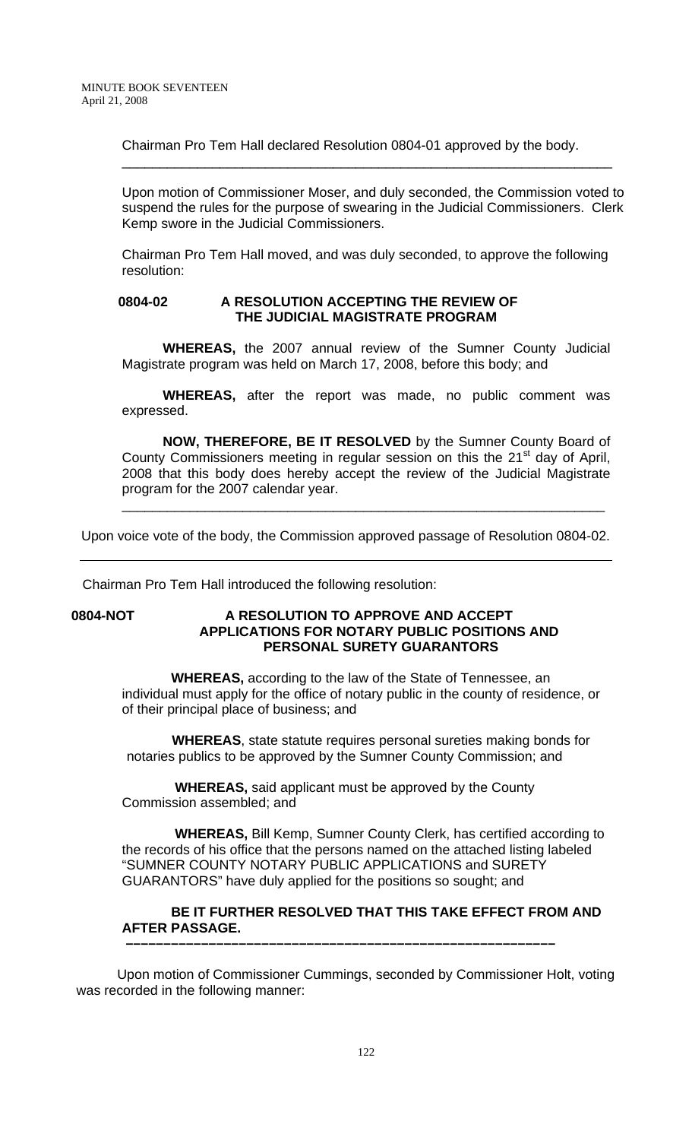Chairman Pro Tem Hall declared Resolution 0804-01 approved by the body.

Upon motion of Commissioner Moser, and duly seconded, the Commission voted to suspend the rules for the purpose of swearing in the Judicial Commissioners. Clerk Kemp swore in the Judicial Commissioners.

\_\_\_\_\_\_\_\_\_\_\_\_\_\_\_\_\_\_\_\_\_\_\_\_\_\_\_\_\_\_\_\_\_\_\_\_\_\_\_\_\_\_\_\_\_\_\_\_\_\_\_\_\_\_\_\_\_\_\_\_\_\_\_\_\_

Chairman Pro Tem Hall moved, and was duly seconded, to approve the following resolution:

### **0804-02 A RESOLUTION ACCEPTING THE REVIEW OF THE JUDICIAL MAGISTRATE PROGRAM**

 **WHEREAS,** the 2007 annual review of the Sumner County Judicial Magistrate program was held on March 17, 2008, before this body; and

**WHEREAS,** after the report was made, no public comment was expressed.

**NOW, THEREFORE, BE IT RESOLVED** by the Sumner County Board of County Commissioners meeting in regular session on this the 21<sup>st</sup> day of April, 2008 that this body does hereby accept the review of the Judicial Magistrate program for the 2007 calendar year.

\_\_\_\_\_\_\_\_\_\_\_\_\_\_\_\_\_\_\_\_\_\_\_\_\_\_\_\_\_\_\_\_\_\_\_\_\_\_\_\_\_\_\_\_\_\_\_\_\_\_\_\_\_\_\_\_\_\_\_\_\_\_\_\_

Upon voice vote of the body, the Commission approved passage of Resolution 0804-02.

Chairman Pro Tem Hall introduced the following resolution:

#### **0804-NOT A RESOLUTION TO APPROVE AND ACCEPT APPLICATIONS FOR NOTARY PUBLIC POSITIONS AND PERSONAL SURETY GUARANTORS**

 **WHEREAS,** according to the law of the State of Tennessee, an individual must apply for the office of notary public in the county of residence, or of their principal place of business; and

 **WHEREAS**, state statute requires personal sureties making bonds for notaries publics to be approved by the Sumner County Commission; and

 **WHEREAS,** said applicant must be approved by the County Commission assembled; and

 **WHEREAS,** Bill Kemp, Sumner County Clerk, has certified according to the records of his office that the persons named on the attached listing labeled "SUMNER COUNTY NOTARY PUBLIC APPLICATIONS and SURETY GUARANTORS" have duly applied for the positions so sought; and

# **BE IT FURTHER RESOLVED THAT THIS TAKE EFFECT FROM AND AFTER PASSAGE.**

Upon motion of Commissioner Cummings, seconded by Commissioner Holt, voting was recorded in the following manner:

 **–––––––––––––––––––––––––––––––––––––––––––––––––––––––––**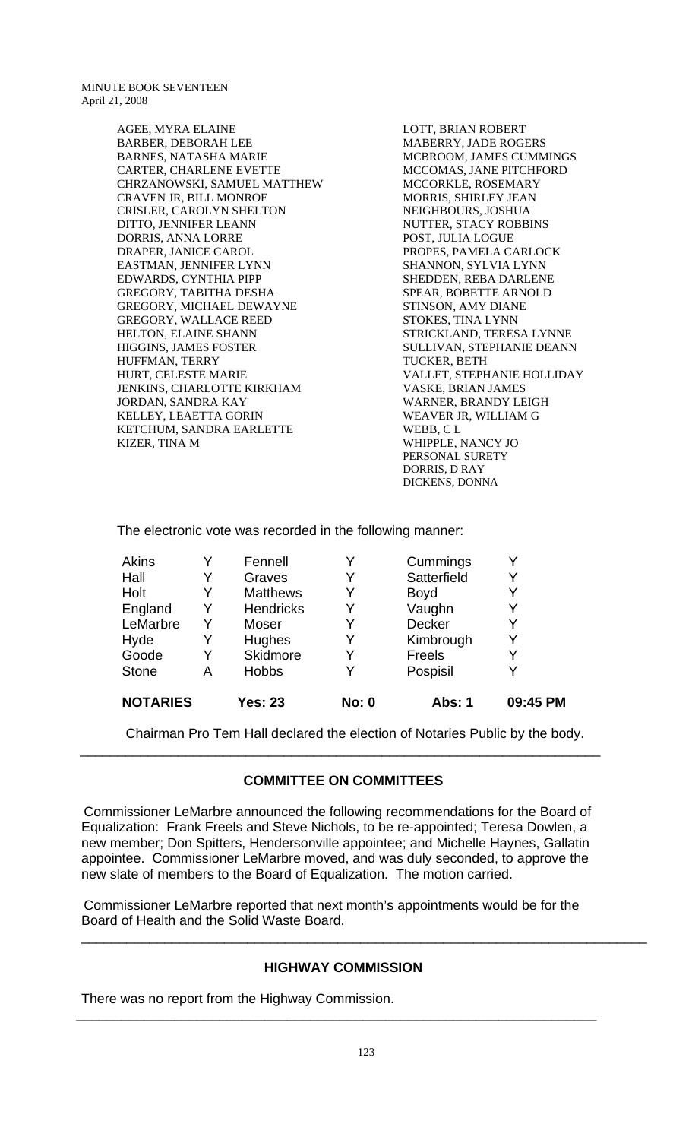> AGEE, MYRA ELAINE BARBER, DEBORAH LEE BARNES, NATASHA MARIE CARTER, CHARLENE EVETTE CHRZANOWSKI, SAMUEL MATTHEW CRAVEN JR, BILL MONROE CRISLER, CAROLYN SHELTON DITTO, JENNIFER LEANN DORRIS, ANNA LORRE DRAPER, JANICE CAROL EASTMAN, JENNIFER LYNN EDWARDS, CYNTHIA PIPP GREGORY, TABITHA DESHA GREGORY, MICHAEL DEWAYNE GREGORY, WALLACE REED HELTON, ELAINE SHANN HIGGINS, JAMES FOSTER HUFFMAN, TERRY HURT, CELESTE MARIE JENKINS, CHARLOTTE KIRKHAM JORDAN, SANDRA KAY KELLEY, LEAETTA GORIN KETCHUM, SANDRA EARLETTE KIZER, TINA M

LOTT, BRIAN ROBERT MABERRY, JADE ROGERS MCBROOM, JAMES CUMMINGS MCCOMAS, JANE PITCHFORD MCCORKLE, ROSEMARY MORRIS, SHIRLEY JEAN NEIGHBOURS, JOSHUA NUTTER, STACY ROBBINS POST, JULIA LOGUE PROPES, PAMELA CARLOCK SHANNON, SYLVIA LYNN SHEDDEN, REBA DARLENE SPEAR, BOBETTE ARNOLD STINSON, AMY DIANE STOKES, TINA LYNN STRICKLAND, TERESA LYNNE SULLIVAN, STEPHANIE DEANN TUCKER, BETH VALLET, STEPHANIE HOLLIDAY VASKE, BRIAN JAMES WARNER, BRANDY LEIGH WEAVER JR, WILLIAM G WEBB, C L WHIPPLE, NANCY JO PERSONAL SURETY DORRIS, D RAY DICKENS, DONNA

The electronic vote was recorded in the following manner:

|   |                  | <b>No: 0</b>                   |               | 09:45 PM      |
|---|------------------|--------------------------------|---------------|---------------|
| Α |                  | Y                              | Pospisil      |               |
| Y | Skidmore         | Y                              | Freels        | Y             |
| Y | Hughes           | Y                              | Kimbrough     | Y             |
| Y | Moser            | Y                              | <b>Decker</b> | Y             |
| Y | <b>Hendricks</b> | Y                              | Vaughn        | Y             |
| Y | <b>Matthews</b>  | Y                              | <b>Boyd</b>   | Y             |
| Y | Graves           | Y                              | Satterfield   | Y             |
| Y | Fennell          | Y                              | Cummings      | Y             |
|   |                  | <b>Hobbs</b><br><b>Yes: 23</b> |               | <b>Abs: 1</b> |

Chairman Pro Tem Hall declared the election of Notaries Public by the body.

# **COMMITTEE ON COMMITTEES**

\_\_\_\_\_\_\_\_\_\_\_\_\_\_\_\_\_\_\_\_\_\_\_\_\_\_\_\_\_\_\_\_\_\_\_\_\_\_\_\_\_\_\_\_\_\_\_\_\_\_\_\_\_\_\_\_\_\_\_\_\_\_\_\_\_\_\_\_\_

 Commissioner LeMarbre announced the following recommendations for the Board of Equalization: Frank Freels and Steve Nichols, to be re-appointed; Teresa Dowlen, a new member; Don Spitters, Hendersonville appointee; and Michelle Haynes, Gallatin appointee. Commissioner LeMarbre moved, and was duly seconded, to approve the new slate of members to the Board of Equalization. The motion carried.

 Commissioner LeMarbre reported that next month's appointments would be for the Board of Health and the Solid Waste Board.

### **HIGHWAY COMMISSION**

**\_\_\_\_\_\_\_\_\_\_\_\_\_\_\_\_\_\_\_\_\_\_\_\_\_\_\_\_\_\_\_\_\_\_\_\_\_\_\_\_\_\_\_\_\_\_\_\_\_\_\_\_\_\_\_\_\_\_\_\_\_\_\_\_\_\_\_\_\_** 

There was no report from the Highway Commission.

\_\_\_\_\_\_\_\_\_\_\_\_\_\_\_\_\_\_\_\_\_\_\_\_\_\_\_\_\_\_\_\_\_\_\_\_\_\_\_\_\_\_\_\_\_\_\_\_\_\_\_\_\_\_\_\_\_\_\_\_\_\_\_\_\_\_\_\_\_\_\_\_\_\_\_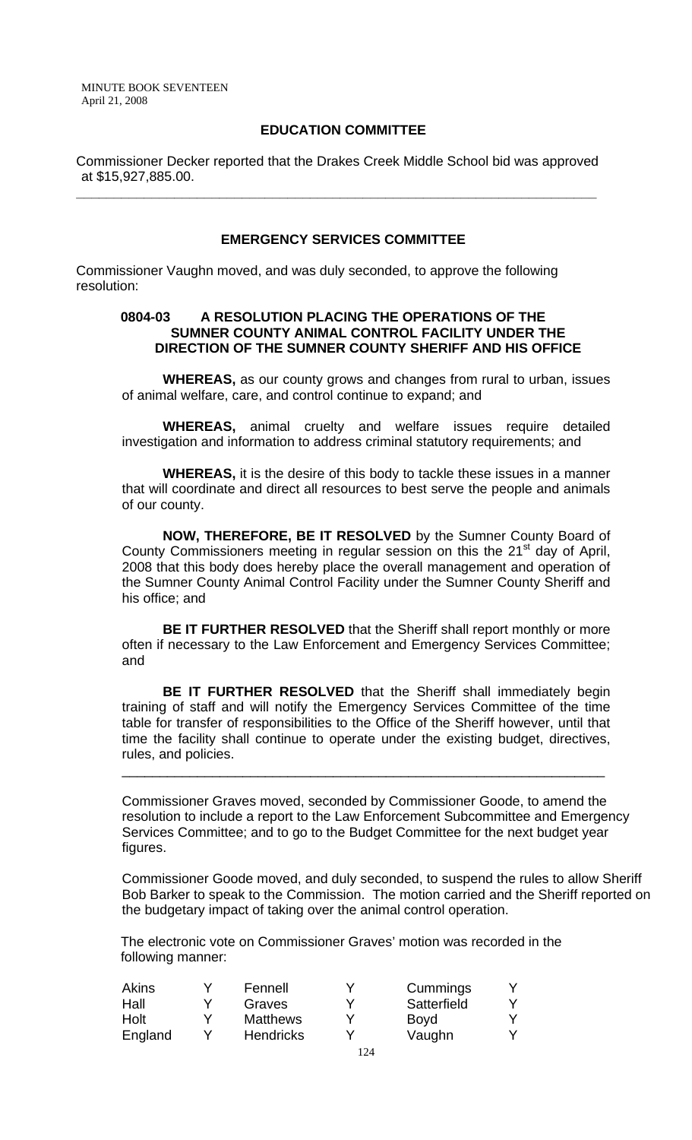# **EDUCATION COMMITTEE**

Commissioner Decker reported that the Drakes Creek Middle School bid was approved at \$15,927,885.00.

**\_\_\_\_\_\_\_\_\_\_\_\_\_\_\_\_\_\_\_\_\_\_\_\_\_\_\_\_\_\_\_\_\_\_\_\_\_\_\_\_\_\_\_\_\_\_\_\_\_\_\_\_\_\_\_\_\_\_\_\_\_\_\_\_\_\_\_\_\_** 

#### **EMERGENCY SERVICES COMMITTEE**

Commissioner Vaughn moved, and was duly seconded, to approve the following resolution:

#### **0804-03 A RESOLUTION PLACING THE OPERATIONS OF THE SUMNER COUNTY ANIMAL CONTROL FACILITY UNDER THE DIRECTION OF THE SUMNER COUNTY SHERIFF AND HIS OFFICE**

 **WHEREAS,** as our county grows and changes from rural to urban, issues of animal welfare, care, and control continue to expand; and

**WHEREAS,** animal cruelty and welfare issues require detailed investigation and information to address criminal statutory requirements; and

**WHEREAS,** it is the desire of this body to tackle these issues in a manner that will coordinate and direct all resources to best serve the people and animals of our county.

**NOW, THEREFORE, BE IT RESOLVED** by the Sumner County Board of County Commissioners meeting in regular session on this the 21<sup>st</sup> day of April, 2008 that this body does hereby place the overall management and operation of the Sumner County Animal Control Facility under the Sumner County Sheriff and his office; and

**BE IT FURTHER RESOLVED** that the Sheriff shall report monthly or more often if necessary to the Law Enforcement and Emergency Services Committee; and

**BE IT FURTHER RESOLVED** that the Sheriff shall immediately begin training of staff and will notify the Emergency Services Committee of the time table for transfer of responsibilities to the Office of the Sheriff however, until that time the facility shall continue to operate under the existing budget, directives, rules, and policies.

\_\_\_\_\_\_\_\_\_\_\_\_\_\_\_\_\_\_\_\_\_\_\_\_\_\_\_\_\_\_\_\_\_\_\_\_\_\_\_\_\_\_\_\_\_\_\_\_\_\_\_\_\_\_\_\_\_\_\_\_\_\_\_\_

Commissioner Graves moved, seconded by Commissioner Goode, to amend the resolution to include a report to the Law Enforcement Subcommittee and Emergency Services Committee; and to go to the Budget Committee for the next budget year figures.

Commissioner Goode moved, and duly seconded, to suspend the rules to allow Sheriff Bob Barker to speak to the Commission. The motion carried and the Sheriff reported on the budgetary impact of taking over the animal control operation.

 The electronic vote on Commissioner Graves' motion was recorded in the following manner:

| Akins   |   | Fennell          | Y | Cummings    |  |
|---------|---|------------------|---|-------------|--|
| Hall    | v | Graves           | Y | Satterfield |  |
| Holt    | v | <b>Matthews</b>  |   | <b>Boyd</b> |  |
| England |   | <b>Hendricks</b> |   | Vaughn      |  |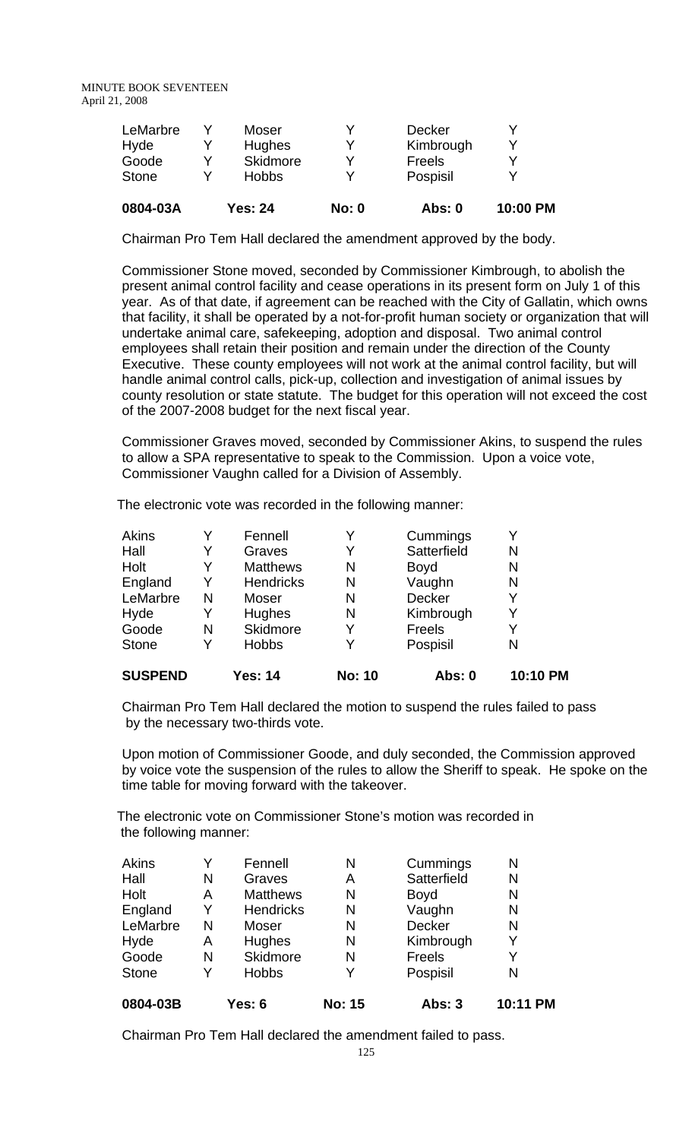| 0804-03A     |   | <b>Yes: 24</b> | <b>No: 0</b> | <b>Abs: 0</b> | 10:00 PM |
|--------------|---|----------------|--------------|---------------|----------|
| <b>Stone</b> |   | <b>Hobbs</b>   |              | Pospisil      |          |
| Goode        | v | Skidmore       |              | Freels        | v        |
| Hyde         |   | <b>Hughes</b>  |              | Kimbrough     | v        |
| LeMarbre     |   | Moser          |              | <b>Decker</b> |          |
|              |   |                |              |               |          |

Chairman Pro Tem Hall declared the amendment approved by the body.

Commissioner Stone moved, seconded by Commissioner Kimbrough, to abolish the present animal control facility and cease operations in its present form on July 1 of this year. As of that date, if agreement can be reached with the City of Gallatin, which owns that facility, it shall be operated by a not-for-profit human society or organization that will undertake animal care, safekeeping, adoption and disposal. Two animal control employees shall retain their position and remain under the direction of the County Executive. These county employees will not work at the animal control facility, but will handle animal control calls, pick-up, collection and investigation of animal issues by county resolution or state statute. The budget for this operation will not exceed the cost of the 2007-2008 budget for the next fiscal year.

Commissioner Graves moved, seconded by Commissioner Akins, to suspend the rules to allow a SPA representative to speak to the Commission. Upon a voice vote, Commissioner Vaughn called for a Division of Assembly.

The electronic vote was recorded in the following manner:

| <b>SUSPEND</b> |   | Yes: 14          | <b>No: 10</b> | Abs: 0        | 10:10 PM |
|----------------|---|------------------|---------------|---------------|----------|
| <b>Stone</b>   | Y | <b>Hobbs</b>     | Y             | Pospisil      | N        |
| Goode          | N | <b>Skidmore</b>  | Y             | <b>Freels</b> | Y        |
| Hyde           | Y | Hughes           | N             | Kimbrough     | Y        |
| LeMarbre       | N | Moser            | N             | Decker        | Y        |
| England        | Y | <b>Hendricks</b> | N             | Vaughn        | N        |
| Holt           | Y | <b>Matthews</b>  | N             | <b>Boyd</b>   | N        |
| Hall           | Y | Graves           | Y             | Satterfield   | N        |
| Akins          | Y | Fennell          | Y             | Cummings      |          |

Chairman Pro Tem Hall declared the motion to suspend the rules failed to pass by the necessary two-thirds vote.

Upon motion of Commissioner Goode, and duly seconded, the Commission approved by voice vote the suspension of the rules to allow the Sheriff to speak. He spoke on the time table for moving forward with the takeover.

The electronic vote on Commissioner Stone's motion was recorded in the following manner:

| <b>Stone</b> | v | <b>Hobbs</b>     | v | Pospisil    | N |
|--------------|---|------------------|---|-------------|---|
| Goode        | N | Skidmore         | N | Freels      | Y |
| Hyde         | Α | Hughes           | N | Kimbrough   | Y |
| LeMarbre     | N | Moser            | N | Decker      | N |
| England      | Y | <b>Hendricks</b> | N | Vaughn      | N |
| Holt         | Α | <b>Matthews</b>  | N | <b>Boyd</b> | N |
| Hall         | N | Graves           | A | Satterfield | N |
| Akins        | Υ | Fennell          | Ν | Cummings    | N |

Chairman Pro Tem Hall declared the amendment failed to pass.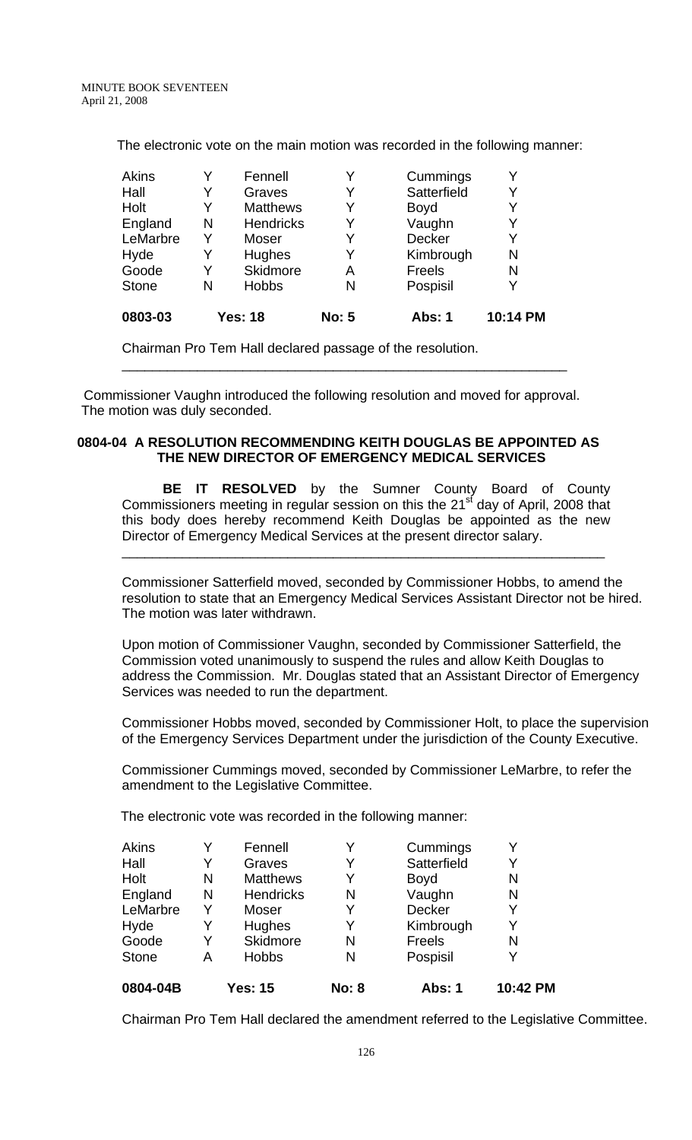The electronic vote on the main motion was recorded in the following manner:

| Akins        |   | Fennell          | Y            | Cummings      | Y        |
|--------------|---|------------------|--------------|---------------|----------|
| Hall         | Y | Graves           | Y            | Satterfield   | Y        |
| Holt         | Y | <b>Matthews</b>  | Y            | <b>Boyd</b>   | Y        |
| England      | N | <b>Hendricks</b> | Y            | Vaughn        | Y        |
| LeMarbre     | Y | Moser            | Y            | <b>Decker</b> | Y        |
| Hyde         |   | Hughes           | Y            | Kimbrough     | N        |
| Goode        | Y | Skidmore         | Α            | <b>Freels</b> | N        |
| <b>Stone</b> | N | <b>Hobbs</b>     | N            | Pospisil      | Y        |
| 0803-03      |   | <b>Yes: 18</b>   | <b>No: 5</b> | <b>Abs: 1</b> | 10:14 PM |

Chairman Pro Tem Hall declared passage of the resolution.

 Commissioner Vaughn introduced the following resolution and moved for approval. The motion was duly seconded.

\_\_\_\_\_\_\_\_\_\_\_\_\_\_\_\_\_\_\_\_\_\_\_\_\_\_\_\_\_\_\_\_\_\_\_\_\_\_\_\_\_\_\_\_\_\_\_\_\_\_\_\_\_\_\_\_\_\_\_

### **0804-04 A RESOLUTION RECOMMENDING KEITH DOUGLAS BE APPOINTED AS THE NEW DIRECTOR OF EMERGENCY MEDICAL SERVICES**

 **BE IT RESOLVED** by the Sumner County Board of County Commissioners meeting in regular session on this the  $21<sup>st</sup>$  day of April, 2008 that this body does hereby recommend Keith Douglas be appointed as the new Director of Emergency Medical Services at the present director salary.

\_\_\_\_\_\_\_\_\_\_\_\_\_\_\_\_\_\_\_\_\_\_\_\_\_\_\_\_\_\_\_\_\_\_\_\_\_\_\_\_\_\_\_\_\_\_\_\_\_\_\_\_\_\_\_\_\_\_\_\_\_\_\_\_

Commissioner Satterfield moved, seconded by Commissioner Hobbs, to amend the resolution to state that an Emergency Medical Services Assistant Director not be hired. The motion was later withdrawn.

Upon motion of Commissioner Vaughn, seconded by Commissioner Satterfield, the Commission voted unanimously to suspend the rules and allow Keith Douglas to address the Commission. Mr. Douglas stated that an Assistant Director of Emergency Services was needed to run the department.

Commissioner Hobbs moved, seconded by Commissioner Holt, to place the supervision of the Emergency Services Department under the jurisdiction of the County Executive.

Commissioner Cummings moved, seconded by Commissioner LeMarbre, to refer the amendment to the Legislative Committee.

The electronic vote was recorded in the following manner:

| А |                  | N            | Pospisil      | v |
|---|------------------|--------------|---------------|---|
| Y | Skidmore         | N            | Freels        | N |
| Y | Hughes           | Y            | Kimbrough     | Y |
| Y | Moser            | Y            | <b>Decker</b> | Y |
| N | <b>Hendricks</b> | N            | Vaughn        | N |
| N | <b>Matthews</b>  | Y            | <b>Boyd</b>   | N |
| Y | Graves           |              | Satterfield   | Y |
| Y | Fennell          | Y            | Cummings      | v |
|   |                  | <b>Hobbs</b> |               |   |

Chairman Pro Tem Hall declared the amendment referred to the Legislative Committee.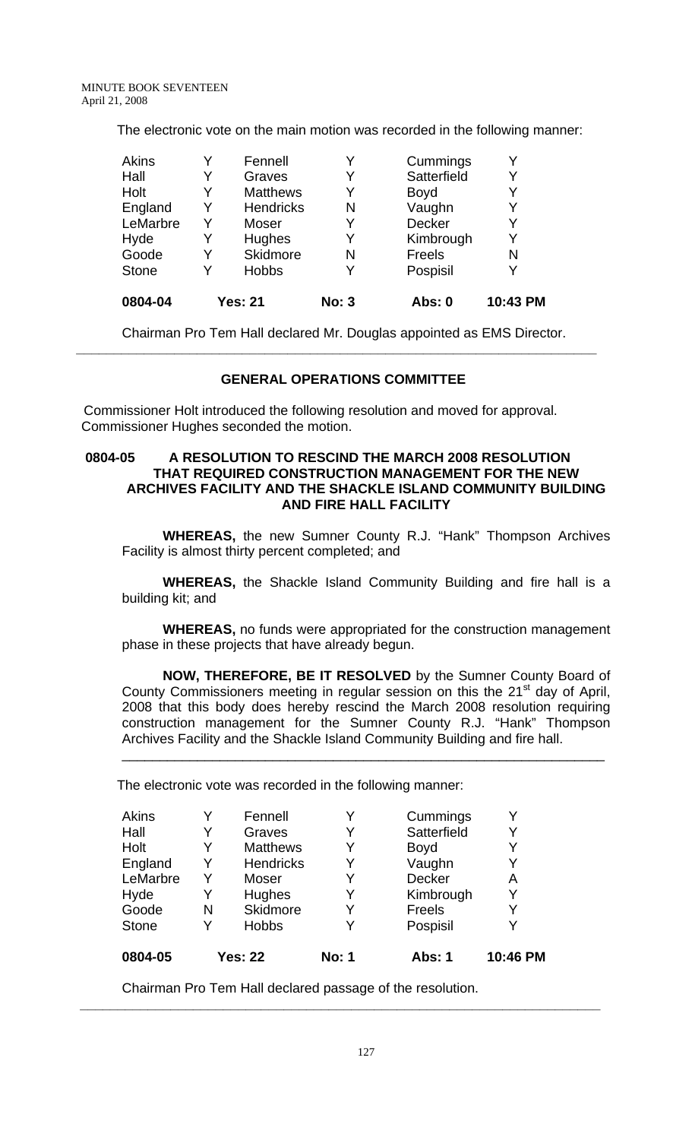The electronic vote on the main motion was recorded in the following manner:

| <b>Akins</b> |   | Fennell          |              | Cummings      | Y        |
|--------------|---|------------------|--------------|---------------|----------|
| Hall         | Y | Graves           |              | Satterfield   | Y        |
| Holt         | Y | <b>Matthews</b>  | Y            | <b>Boyd</b>   | Y        |
| England      | Y | <b>Hendricks</b> | N            | Vaughn        | Y        |
| LeMarbre     | Y | Moser            |              | <b>Decker</b> | Y        |
| Hyde         | Y | <b>Hughes</b>    | Y            | Kimbrough     | Y        |
| Goode        | Y | Skidmore         | N            | <b>Freels</b> | N        |
| <b>Stone</b> | Y | <b>Hobbs</b>     |              | Pospisil      | Y        |
| 0804-04      |   | <b>Yes: 21</b>   | <b>No: 3</b> | <b>Abs: 0</b> | 10:43 PM |

Chairman Pro Tem Hall declared Mr. Douglas appointed as EMS Director. **\_\_\_\_\_\_\_\_\_\_\_\_\_\_\_\_\_\_\_\_\_\_\_\_\_\_\_\_\_\_\_\_\_\_\_\_\_\_\_\_\_\_\_\_\_\_\_\_\_\_\_\_\_\_\_\_\_\_\_\_\_\_\_\_\_\_\_\_\_** 

### **GENERAL OPERATIONS COMMITTEE**

 Commissioner Holt introduced the following resolution and moved for approval. Commissioner Hughes seconded the motion.

#### **0804-05 A RESOLUTION TO RESCIND THE MARCH 2008 RESOLUTION THAT REQUIRED CONSTRUCTION MANAGEMENT FOR THE NEW ARCHIVES FACILITY AND THE SHACKLE ISLAND COMMUNITY BUILDING AND FIRE HALL FACILITY**

**WHEREAS,** the new Sumner County R.J. "Hank" Thompson Archives Facility is almost thirty percent completed; and

**WHEREAS,** the Shackle Island Community Building and fire hall is a building kit; and

**WHEREAS,** no funds were appropriated for the construction management phase in these projects that have already begun.

**NOW, THEREFORE, BE IT RESOLVED** by the Sumner County Board of County Commissioners meeting in regular session on this the  $21<sup>st</sup>$  day of April, 2008 that this body does hereby rescind the March 2008 resolution requiring construction management for the Sumner County R.J. "Hank" Thompson Archives Facility and the Shackle Island Community Building and fire hall.

\_\_\_\_\_\_\_\_\_\_\_\_\_\_\_\_\_\_\_\_\_\_\_\_\_\_\_\_\_\_\_\_\_\_\_\_\_\_\_\_\_\_\_\_\_\_\_\_\_\_\_\_\_\_\_\_\_\_\_\_\_\_\_\_

The electronic vote was recorded in the following manner:

| Akins        |   | Fennell          |              | Cummings      |          |
|--------------|---|------------------|--------------|---------------|----------|
| Hall         | Y | Graves           | Y            | Satterfield   | Y        |
| Holt         | Y | <b>Matthews</b>  | Y            | <b>Boyd</b>   | Y        |
| England      | Y | <b>Hendricks</b> | Y            | Vaughn        |          |
| LeMarbre     | Y | Moser            | Y            | Decker        | Α        |
| Hyde         | Y | Hughes           |              | Kimbrough     | Y        |
| Goode        | N | Skidmore         | Y            | <b>Freels</b> | Y        |
| <b>Stone</b> | Y | <b>Hobbs</b>     |              | Pospisil      |          |
| 0804-05      |   | <b>Yes: 22</b>   | <b>No: 1</b> | Abs: 1        | 10:46 PM |

**\_\_\_\_\_\_\_\_\_\_\_\_\_\_\_\_\_\_\_\_\_\_\_\_\_\_\_\_\_\_\_\_\_\_\_\_\_\_\_\_\_\_\_\_\_\_\_\_\_\_\_\_\_\_\_\_\_\_\_\_\_\_\_\_\_\_\_\_\_** 

Chairman Pro Tem Hall declared passage of the resolution.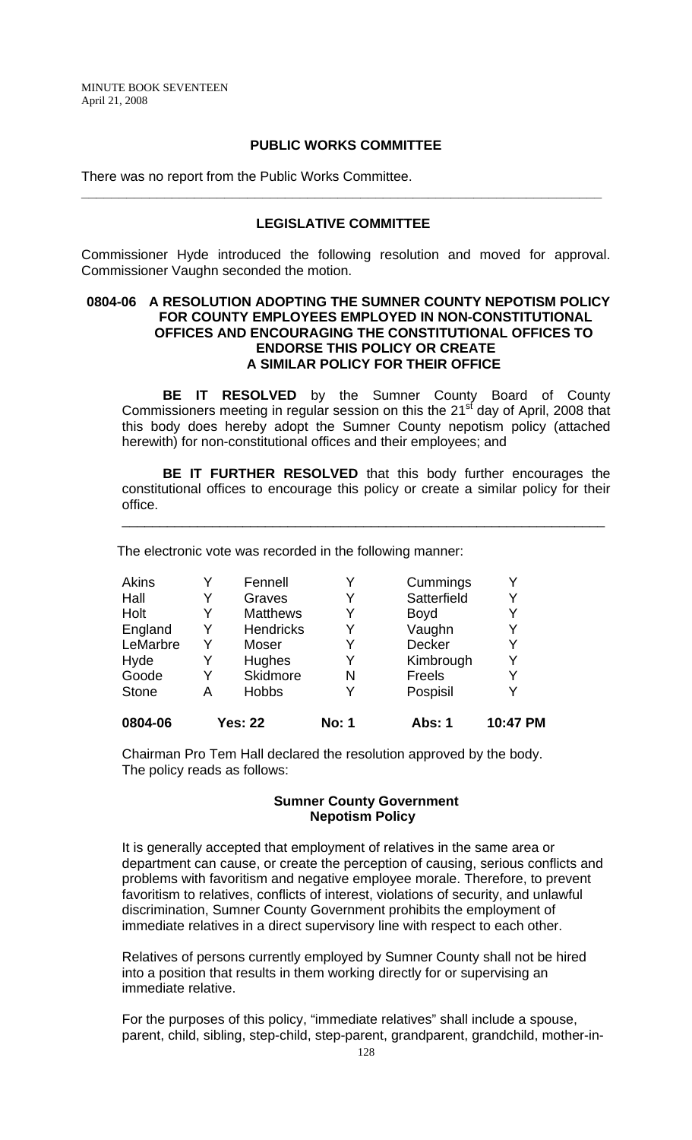#### **PUBLIC WORKS COMMITTEE**

There was no report from the Public Works Committee.

# **LEGISLATIVE COMMITTEE**

**\_\_\_\_\_\_\_\_\_\_\_\_\_\_\_\_\_\_\_\_\_\_\_\_\_\_\_\_\_\_\_\_\_\_\_\_\_\_\_\_\_\_\_\_\_\_\_\_\_\_\_\_\_\_\_\_\_\_\_\_\_\_\_\_\_\_\_\_\_** 

Commissioner Hyde introduced the following resolution and moved for approval. Commissioner Vaughn seconded the motion.

#### **0804-06 A RESOLUTION ADOPTING THE SUMNER COUNTY NEPOTISM POLICY FOR COUNTY EMPLOYEES EMPLOYED IN NON-CONSTITUTIONAL OFFICES AND ENCOURAGING THE CONSTITUTIONAL OFFICES TO ENDORSE THIS POLICY OR CREATE A SIMILAR POLICY FOR THEIR OFFICE**

**BE IT RESOLVED** by the Sumner County Board of County Commissioners meeting in regular session on this the  $21<sup>st</sup>$  day of April, 2008 that this body does hereby adopt the Sumner County nepotism policy (attached herewith) for non-constitutional offices and their employees; and

**BE IT FURTHER RESOLVED** that this body further encourages the constitutional offices to encourage this policy or create a similar policy for their office.

\_\_\_\_\_\_\_\_\_\_\_\_\_\_\_\_\_\_\_\_\_\_\_\_\_\_\_\_\_\_\_\_\_\_\_\_\_\_\_\_\_\_\_\_\_\_\_\_\_\_\_\_\_\_\_\_\_\_\_\_\_\_\_\_

The electronic vote was recorded in the following manner:

| <b>Akins</b> |   | Fennell          | Y            | Cummings      |          |
|--------------|---|------------------|--------------|---------------|----------|
| Hall         |   | Graves           | Y            | Satterfield   | Y        |
| Holt         |   | <b>Matthews</b>  | Y            | <b>Boyd</b>   |          |
| England      | Y | <b>Hendricks</b> | Y            | Vaughn        |          |
| LeMarbre     | Y | Moser            | Y            | <b>Decker</b> | Y        |
| Hyde         | Y | Hughes           | Y            | Kimbrough     | Y        |
| Goode        |   | Skidmore         | N            | <b>Freels</b> |          |
| <b>Stone</b> | A | <b>Hobbs</b>     | Y            | Pospisil      |          |
| 0804-06      |   | <b>Yes: 22</b>   | <b>No: 1</b> | <b>Abs: 1</b> | 10:47 PM |

Chairman Pro Tem Hall declared the resolution approved by the body. The policy reads as follows:

#### **Sumner County Government Nepotism Policy**

It is generally accepted that employment of relatives in the same area or department can cause, or create the perception of causing, serious conflicts and problems with favoritism and negative employee morale. Therefore, to prevent favoritism to relatives, conflicts of interest, violations of security, and unlawful discrimination, Sumner County Government prohibits the employment of immediate relatives in a direct supervisory line with respect to each other.

Relatives of persons currently employed by Sumner County shall not be hired into a position that results in them working directly for or supervising an immediate relative.

For the purposes of this policy, "immediate relatives" shall include a spouse, parent, child, sibling, step-child, step-parent, grandparent, grandchild, mother-in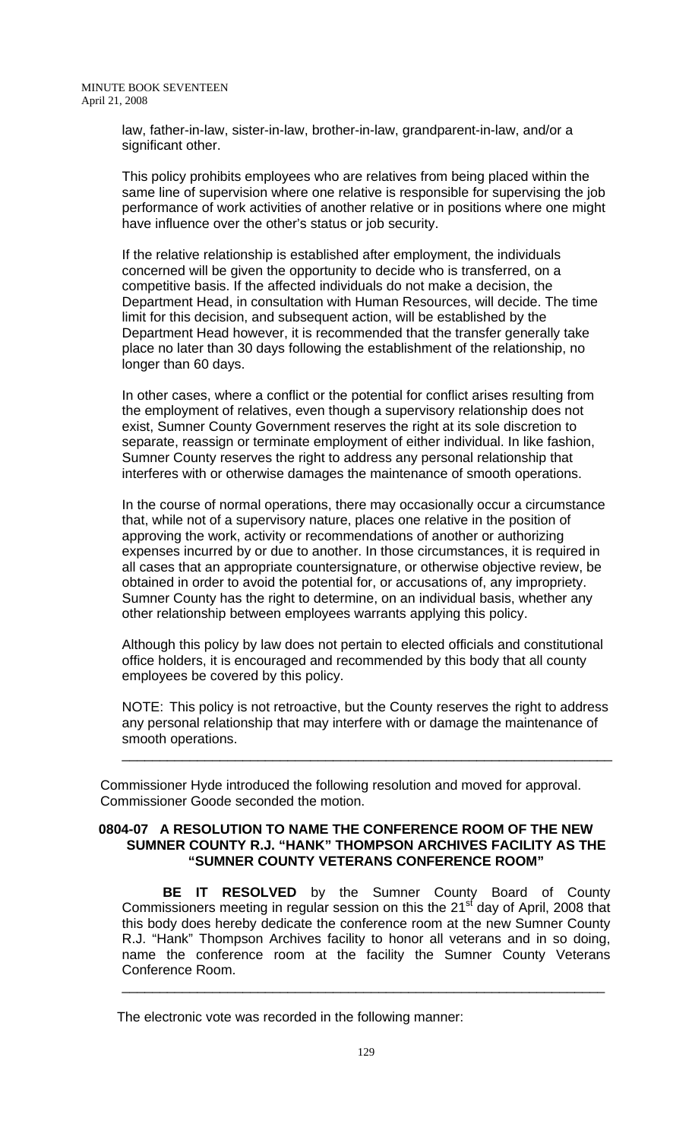law, father-in-law, sister-in-law, brother-in-law, grandparent-in-law, and/or a significant other.

This policy prohibits employees who are relatives from being placed within the same line of supervision where one relative is responsible for supervising the job performance of work activities of another relative or in positions where one might have influence over the other's status or job security.

If the relative relationship is established after employment, the individuals concerned will be given the opportunity to decide who is transferred, on a competitive basis. If the affected individuals do not make a decision, the Department Head, in consultation with Human Resources, will decide. The time limit for this decision, and subsequent action, will be established by the Department Head however, it is recommended that the transfer generally take place no later than 30 days following the establishment of the relationship, no longer than 60 days.

In other cases, where a conflict or the potential for conflict arises resulting from the employment of relatives, even though a supervisory relationship does not exist, Sumner County Government reserves the right at its sole discretion to separate, reassign or terminate employment of either individual. In like fashion, Sumner County reserves the right to address any personal relationship that interferes with or otherwise damages the maintenance of smooth operations.

In the course of normal operations, there may occasionally occur a circumstance that, while not of a supervisory nature, places one relative in the position of approving the work, activity or recommendations of another or authorizing expenses incurred by or due to another. In those circumstances, it is required in all cases that an appropriate countersignature, or otherwise objective review, be obtained in order to avoid the potential for, or accusations of, any impropriety. Sumner County has the right to determine, on an individual basis, whether any other relationship between employees warrants applying this policy.

Although this policy by law does not pertain to elected officials and constitutional office holders, it is encouraged and recommended by this body that all county employees be covered by this policy.

NOTE: This policy is not retroactive, but the County reserves the right to address any personal relationship that may interfere with or damage the maintenance of smooth operations.

\_\_\_\_\_\_\_\_\_\_\_\_\_\_\_\_\_\_\_\_\_\_\_\_\_\_\_\_\_\_\_\_\_\_\_\_\_\_\_\_\_\_\_\_\_\_\_\_\_\_\_\_\_\_\_\_\_\_\_\_\_\_\_\_\_

 Commissioner Hyde introduced the following resolution and moved for approval. Commissioner Goode seconded the motion.

#### **0804-07 A RESOLUTION TO NAME THE CONFERENCE ROOM OF THE NEW SUMNER COUNTY R.J. "HANK" THOMPSON ARCHIVES FACILITY AS THE "SUMNER COUNTY VETERANS CONFERENCE ROOM"**

 **BE IT RESOLVED** by the Sumner County Board of County Commissioners meeting in regular session on this the 21<sup>st</sup> day of April, 2008 that this body does hereby dedicate the conference room at the new Sumner County R.J. "Hank" Thompson Archives facility to honor all veterans and in so doing, name the conference room at the facility the Sumner County Veterans Conference Room.

\_\_\_\_\_\_\_\_\_\_\_\_\_\_\_\_\_\_\_\_\_\_\_\_\_\_\_\_\_\_\_\_\_\_\_\_\_\_\_\_\_\_\_\_\_\_\_\_\_\_\_\_\_\_\_\_\_\_\_\_\_\_\_\_

The electronic vote was recorded in the following manner: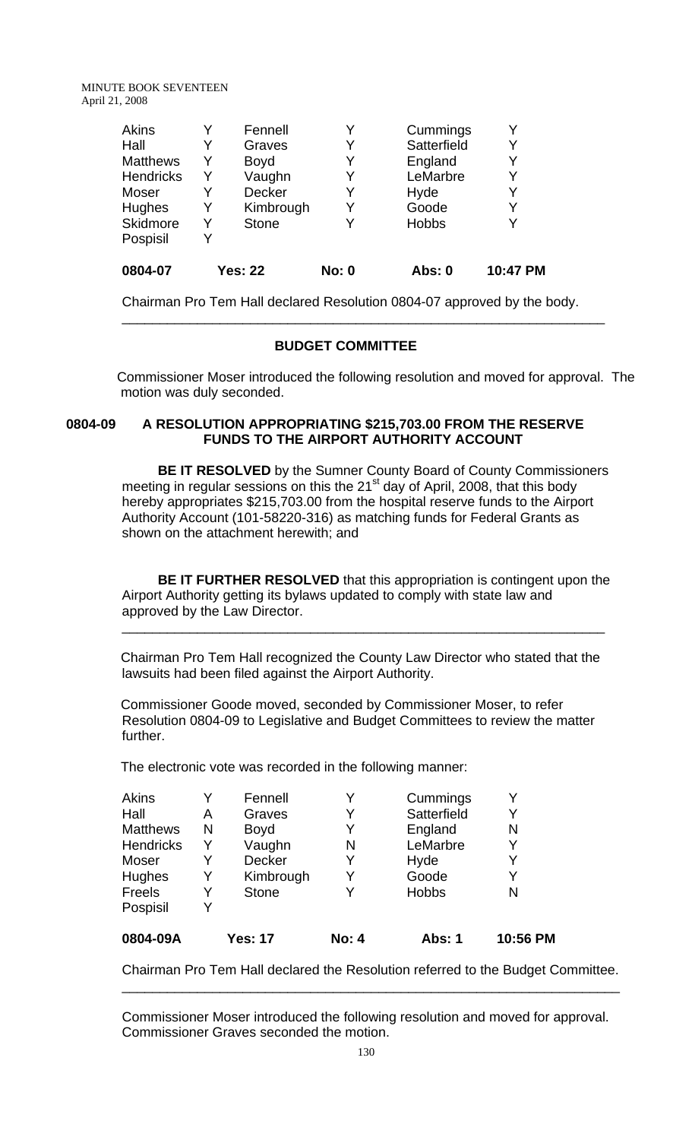| 0804-07          |   | <b>Yes: 22</b> | <b>No: 0</b> | Abs: 0       | 10:47 PM |
|------------------|---|----------------|--------------|--------------|----------|
| Pospisil         | Y |                |              |              |          |
| Skidmore         |   | <b>Stone</b>   | Y            | <b>Hobbs</b> |          |
| Hughes           | Y | Kimbrough      | Y            | Goode        | Y        |
| Moser            |   | <b>Decker</b>  | Y            | Hyde         |          |
| <b>Hendricks</b> | Y | Vaughn         | Y            | LeMarbre     | Y        |
| <b>Matthews</b>  | Y | <b>Boyd</b>    | Y            | England      | Y        |
| Hall             |   | Graves         | Y            | Satterfield  | Y        |
| <b>Akins</b>     |   | Fennell        | Y            | Cummings     |          |
|                  |   |                |              |              |          |

Chairman Pro Tem Hall declared Resolution 0804-07 approved by the body.

\_\_\_\_\_\_\_\_\_\_\_\_\_\_\_\_\_\_\_\_\_\_\_\_\_\_\_\_\_\_\_\_\_\_\_\_\_\_\_\_\_\_\_\_\_\_\_\_\_\_\_\_\_\_\_\_\_\_\_\_\_\_\_\_

# **BUDGET COMMITTEE**

Commissioner Moser introduced the following resolution and moved for approval. The motion was duly seconded.

## **0804-09 A RESOLUTION APPROPRIATING \$215,703.00 FROM THE RESERVE FUNDS TO THE AIRPORT AUTHORITY ACCOUNT**

**BE IT RESOLVED** by the Sumner County Board of County Commissioners meeting in regular sessions on this the 21 $\mathrm{^{st}}$  day of April, 2008, that this body hereby appropriates \$215,703.00 from the hospital reserve funds to the Airport Authority Account (101-58220-316) as matching funds for Federal Grants as shown on the attachment herewith; and

**BE IT FURTHER RESOLVED** that this appropriation is contingent upon the Airport Authority getting its bylaws updated to comply with state law and approved by the Law Director.

\_\_\_\_\_\_\_\_\_\_\_\_\_\_\_\_\_\_\_\_\_\_\_\_\_\_\_\_\_\_\_\_\_\_\_\_\_\_\_\_\_\_\_\_\_\_\_\_\_\_\_\_\_\_\_\_\_\_\_\_\_\_\_\_

 Chairman Pro Tem Hall recognized the County Law Director who stated that the lawsuits had been filed against the Airport Authority.

 Commissioner Goode moved, seconded by Commissioner Moser, to refer Resolution 0804-09 to Legislative and Budget Committees to review the matter further.

The electronic vote was recorded in the following manner:

| 0804-09A         |   | Yes: 17      | <b>No: 4</b> | Abs: 1       | 10:56 PM |
|------------------|---|--------------|--------------|--------------|----------|
| Pospisil         | v |              |              |              |          |
| Freels           | Y | <b>Stone</b> |              | <b>Hobbs</b> | N        |
| <b>Hughes</b>    | Y | Kimbrough    |              | Goode        |          |
| Moser            |   | Decker       |              | Hyde         |          |
| <b>Hendricks</b> | Y | Vaughn       | N            | LeMarbre     | Y        |
| <b>Matthews</b>  | N | <b>Boyd</b>  |              | England      | N        |
| Hall             | Α | Graves       |              | Satterfield  |          |
| Akins            | v | Fennell      |              | Cummings     |          |

Chairman Pro Tem Hall declared the Resolution referred to the Budget Committee. \_\_\_\_\_\_\_\_\_\_\_\_\_\_\_\_\_\_\_\_\_\_\_\_\_\_\_\_\_\_\_\_\_\_\_\_\_\_\_\_\_\_\_\_\_\_\_\_\_\_\_\_\_\_\_\_\_\_\_\_\_\_\_\_\_\_

Commissioner Moser introduced the following resolution and moved for approval. Commissioner Graves seconded the motion.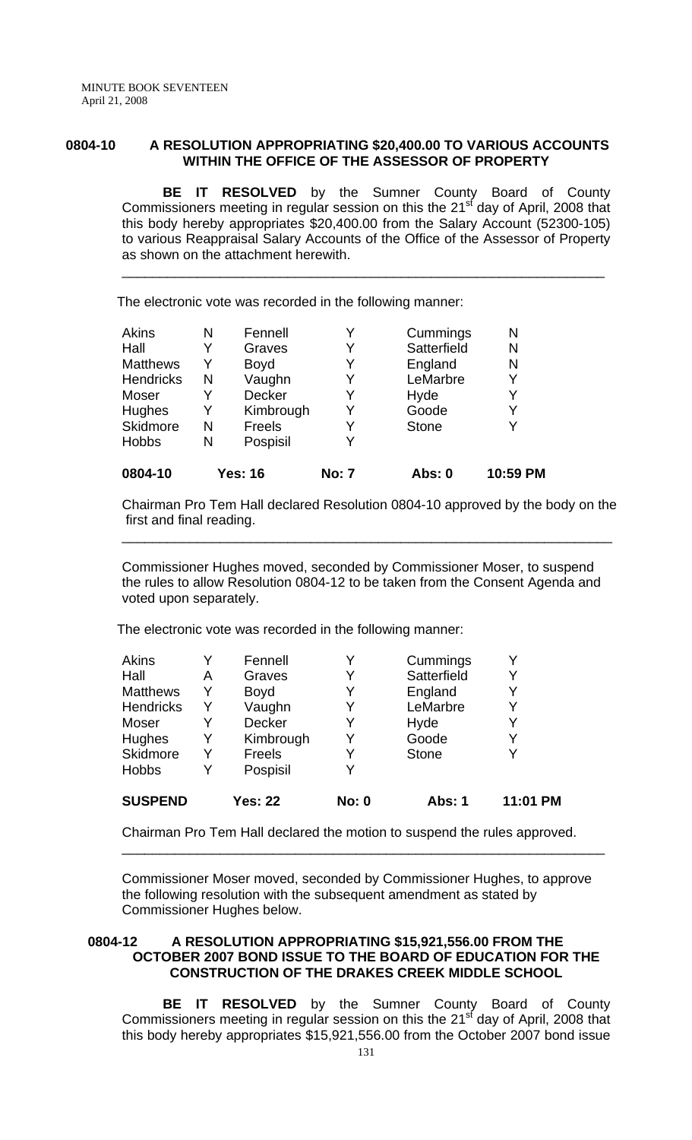# **0804-10 A RESOLUTION APPROPRIATING \$20,400.00 TO VARIOUS ACCOUNTS WITHIN THE OFFICE OF THE ASSESSOR OF PROPERTY**

 **BE IT RESOLVED** by the Sumner County Board of County Commissioners meeting in regular session on this the  $21<sup>st</sup>$  day of April, 2008 that this body hereby appropriates \$20,400.00 from the Salary Account (52300-105) to various Reappraisal Salary Accounts of the Office of the Assessor of Property as shown on the attachment herewith.

\_\_\_\_\_\_\_\_\_\_\_\_\_\_\_\_\_\_\_\_\_\_\_\_\_\_\_\_\_\_\_\_\_\_\_\_\_\_\_\_\_\_\_\_\_\_\_\_\_\_\_\_\_\_\_\_\_\_\_\_\_\_\_\_

The electronic vote was recorded in the following manner:

| <b>Akins</b>     | N | Fennell        | Y            | Cummings     | N        |
|------------------|---|----------------|--------------|--------------|----------|
| Hall             |   | Graves         | Y            | Satterfield  | N        |
| <b>Matthews</b>  | Y | <b>Boyd</b>    | Y            | England      | N        |
| <b>Hendricks</b> | N | Vaughn         | Y            | LeMarbre     | Y        |
| Moser            |   | <b>Decker</b>  | Y            | Hyde         | Y        |
| <b>Hughes</b>    | Y | Kimbrough      | Y            | Goode        | Y        |
| <b>Skidmore</b>  | N | <b>Freels</b>  | Y            | <b>Stone</b> |          |
| <b>Hobbs</b>     | N | Pospisil       | Y            |              |          |
| 0804-10          |   | <b>Yes: 16</b> | <b>No: 7</b> | Abs: 0       | 10:59 PM |

Chairman Pro Tem Hall declared Resolution 0804-10 approved by the body on the first and final reading.

\_\_\_\_\_\_\_\_\_\_\_\_\_\_\_\_\_\_\_\_\_\_\_\_\_\_\_\_\_\_\_\_\_\_\_\_\_\_\_\_\_\_\_\_\_\_\_\_\_\_\_\_\_\_\_\_\_\_\_\_\_\_\_\_\_

Commissioner Hughes moved, seconded by Commissioner Moser, to suspend the rules to allow Resolution 0804-12 to be taken from the Consent Agenda and voted upon separately.

The electronic vote was recorded in the following manner:

| <b>SUSPEND</b>   |   | <b>Yes: 22</b> | <b>No: 0</b> | <b>Abs: 1</b> | 11:01 PM |
|------------------|---|----------------|--------------|---------------|----------|
| <b>Hobbs</b>     | Y | Pospisil       | Y            |               |          |
| Skidmore         | Y | <b>Freels</b>  | Y            | <b>Stone</b>  | v        |
| Hughes           | Y | Kimbrough      | Y            | Goode         | Y        |
| Moser            | Y | Decker         | Y            | Hyde          | Y        |
| <b>Hendricks</b> | Y | Vaughn         | Y            | LeMarbre      | Y        |
| <b>Matthews</b>  | Y | <b>Boyd</b>    | Y            | England       | Y        |
| Hall             | Α | Graves         | Y            | Satterfield   | Y        |
| <b>Akins</b>     | Y | Fennell        | Y            | Cummings      | v        |

Chairman Pro Tem Hall declared the motion to suspend the rules approved.

Commissioner Moser moved, seconded by Commissioner Hughes, to approve the following resolution with the subsequent amendment as stated by Commissioner Hughes below.

\_\_\_\_\_\_\_\_\_\_\_\_\_\_\_\_\_\_\_\_\_\_\_\_\_\_\_\_\_\_\_\_\_\_\_\_\_\_\_\_\_\_\_\_\_\_\_\_\_\_\_\_\_\_\_\_\_\_\_\_\_\_\_\_

### **0804-12 A RESOLUTION APPROPRIATING \$15,921,556.00 FROM THE OCTOBER 2007 BOND ISSUE TO THE BOARD OF EDUCATION FOR THE CONSTRUCTION OF THE DRAKES CREEK MIDDLE SCHOOL**

 **BE IT RESOLVED** by the Sumner County Board of County Commissioners meeting in regular session on this the 21<sup>st</sup> day of April, 2008 that this body hereby appropriates \$15,921,556.00 from the October 2007 bond issue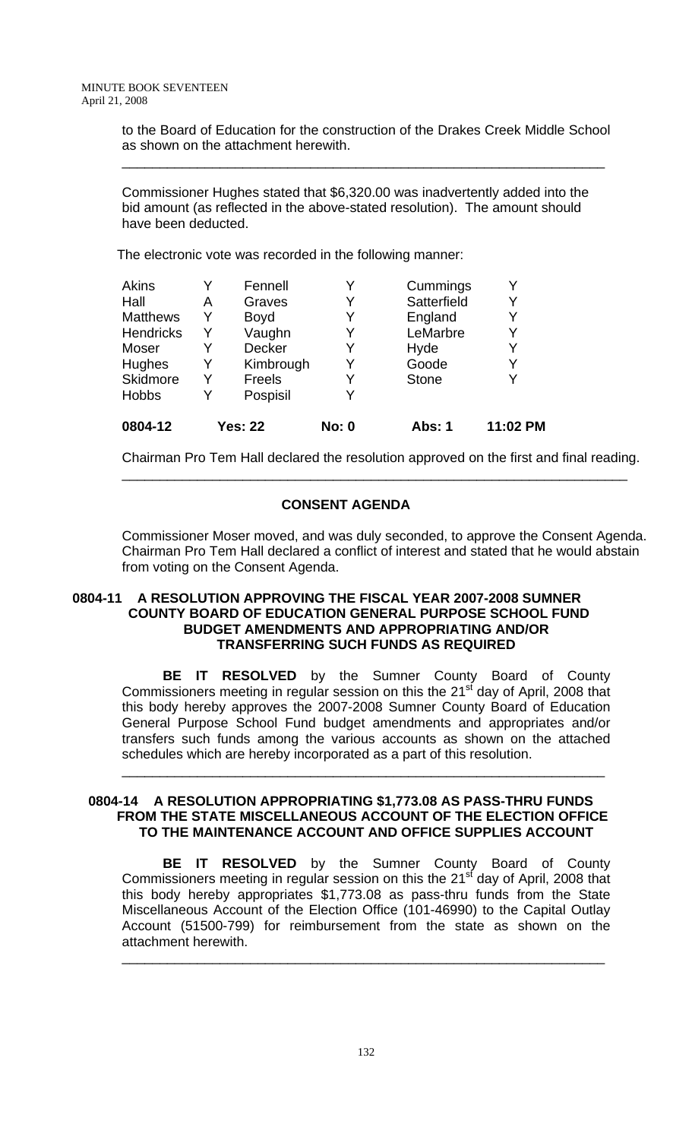to the Board of Education for the construction of the Drakes Creek Middle School as shown on the attachment herewith.

\_\_\_\_\_\_\_\_\_\_\_\_\_\_\_\_\_\_\_\_\_\_\_\_\_\_\_\_\_\_\_\_\_\_\_\_\_\_\_\_\_\_\_\_\_\_\_\_\_\_\_\_\_\_\_\_\_\_\_\_\_\_\_\_

Commissioner Hughes stated that \$6,320.00 was inadvertently added into the bid amount (as reflected in the above-stated resolution). The amount should have been deducted.

The electronic vote was recorded in the following manner:

| 0804-12          | <b>Yes: 22</b> |               | <b>No: 0</b> | <b>Abs: 1</b> | 11:02 PM |
|------------------|----------------|---------------|--------------|---------------|----------|
| <b>Hobbs</b>     | Y              | Pospisil      | Y            |               |          |
| Skidmore         | Y              | Freels        | Y            | <b>Stone</b>  |          |
| <b>Hughes</b>    | Y              | Kimbrough     | Y            | Goode         |          |
| Moser            |                | <b>Decker</b> | Y            | Hyde          | Y        |
| <b>Hendricks</b> | Y              | Vaughn        | Y            | LeMarbre      | Y        |
| <b>Matthews</b>  | Y              | <b>Boyd</b>   | Y            | England       |          |
| Hall             | Α              | Graves        | Y            | Satterfield   | Y        |
| <b>Akins</b>     |                | Fennell       | Y            | Cummings      |          |

Chairman Pro Tem Hall declared the resolution approved on the first and final reading. \_\_\_\_\_\_\_\_\_\_\_\_\_\_\_\_\_\_\_\_\_\_\_\_\_\_\_\_\_\_\_\_\_\_\_\_\_\_\_\_\_\_\_\_\_\_\_\_\_\_\_\_\_\_\_\_\_\_\_\_\_\_\_\_\_\_\_

# **CONSENT AGENDA**

Commissioner Moser moved, and was duly seconded, to approve the Consent Agenda. Chairman Pro Tem Hall declared a conflict of interest and stated that he would abstain from voting on the Consent Agenda.

# **0804-11 A RESOLUTION APPROVING THE FISCAL YEAR 2007-2008 SUMNER COUNTY BOARD OF EDUCATION GENERAL PURPOSE SCHOOL FUND BUDGET AMENDMENTS AND APPROPRIATING AND/OR TRANSFERRING SUCH FUNDS AS REQUIRED**

 **BE IT RESOLVED** by the Sumner County Board of County Commissioners meeting in regular session on this the  $21<sup>st</sup>$  day of April, 2008 that this body hereby approves the 2007-2008 Sumner County Board of Education General Purpose School Fund budget amendments and appropriates and/or transfers such funds among the various accounts as shown on the attached schedules which are hereby incorporated as a part of this resolution.

\_\_\_\_\_\_\_\_\_\_\_\_\_\_\_\_\_\_\_\_\_\_\_\_\_\_\_\_\_\_\_\_\_\_\_\_\_\_\_\_\_\_\_\_\_\_\_\_\_\_\_\_\_\_\_\_\_\_\_\_\_\_\_\_

### **0804-14 A RESOLUTION APPROPRIATING \$1,773.08 AS PASS-THRU FUNDS FROM THE STATE MISCELLANEOUS ACCOUNT OF THE ELECTION OFFICE TO THE MAINTENANCE ACCOUNT AND OFFICE SUPPLIES ACCOUNT**

**BE IT RESOLVED** by the Sumner County Board of County Commissioners meeting in regular session on this the  $21<sup>st</sup>$  day of April, 2008 that this body hereby appropriates \$1,773.08 as pass-thru funds from the State Miscellaneous Account of the Election Office (101-46990) to the Capital Outlay Account (51500-799) for reimbursement from the state as shown on the attachment herewith.

\_\_\_\_\_\_\_\_\_\_\_\_\_\_\_\_\_\_\_\_\_\_\_\_\_\_\_\_\_\_\_\_\_\_\_\_\_\_\_\_\_\_\_\_\_\_\_\_\_\_\_\_\_\_\_\_\_\_\_\_\_\_\_\_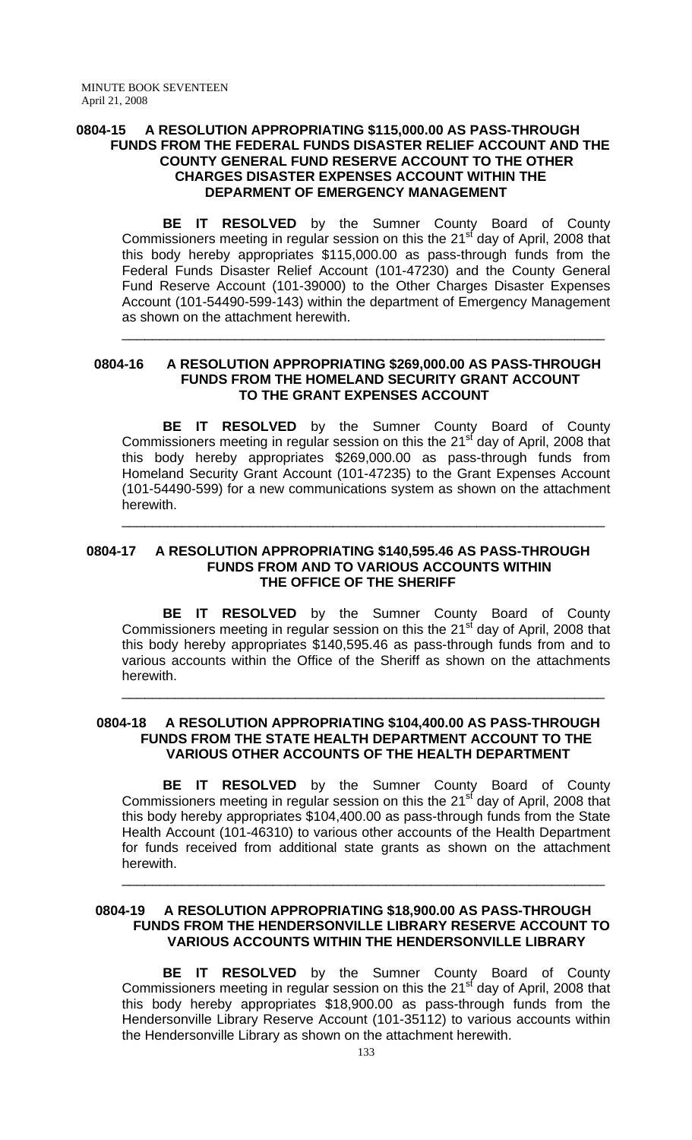### **0804-15 A RESOLUTION APPROPRIATING \$115,000.00 AS PASS-THROUGH FUNDS FROM THE FEDERAL FUNDS DISASTER RELIEF ACCOUNT AND THE COUNTY GENERAL FUND RESERVE ACCOUNT TO THE OTHER CHARGES DISASTER EXPENSES ACCOUNT WITHIN THE DEPARMENT OF EMERGENCY MANAGEMENT**

**BE IT RESOLVED** by the Sumner County Board of County Commissioners meeting in regular session on this the 21<sup>st</sup> day of April, 2008 that this body hereby appropriates \$115,000.00 as pass-through funds from the Federal Funds Disaster Relief Account (101-47230) and the County General Fund Reserve Account (101-39000) to the Other Charges Disaster Expenses Account (101-54490-599-143) within the department of Emergency Management as shown on the attachment herewith.

\_\_\_\_\_\_\_\_\_\_\_\_\_\_\_\_\_\_\_\_\_\_\_\_\_\_\_\_\_\_\_\_\_\_\_\_\_\_\_\_\_\_\_\_\_\_\_\_\_\_\_\_\_\_\_\_\_\_\_\_\_\_\_\_

#### **0804-16 A RESOLUTION APPROPRIATING \$269,000.00 AS PASS-THROUGH FUNDS FROM THE HOMELAND SECURITY GRANT ACCOUNT TO THE GRANT EXPENSES ACCOUNT**

 **BE IT RESOLVED** by the Sumner County Board of County Commissioners meeting in regular session on this the 21<sup>st</sup> day of April, 2008 that this body hereby appropriates \$269,000.00 as pass-through funds from Homeland Security Grant Account (101-47235) to the Grant Expenses Account (101-54490-599) for a new communications system as shown on the attachment herewith.

\_\_\_\_\_\_\_\_\_\_\_\_\_\_\_\_\_\_\_\_\_\_\_\_\_\_\_\_\_\_\_\_\_\_\_\_\_\_\_\_\_\_\_\_\_\_\_\_\_\_\_\_\_\_\_\_\_\_\_\_\_\_\_\_

#### **0804-17 A RESOLUTION APPROPRIATING \$140,595.46 AS PASS-THROUGH FUNDS FROM AND TO VARIOUS ACCOUNTS WITHIN THE OFFICE OF THE SHERIFF**

 **BE IT RESOLVED** by the Sumner County Board of County Commissioners meeting in regular session on this the 21<sup>st</sup> day of April, 2008 that this body hereby appropriates \$140,595.46 as pass-through funds from and to various accounts within the Office of the Sheriff as shown on the attachments herewith.

\_\_\_\_\_\_\_\_\_\_\_\_\_\_\_\_\_\_\_\_\_\_\_\_\_\_\_\_\_\_\_\_\_\_\_\_\_\_\_\_\_\_\_\_\_\_\_\_\_\_\_\_\_\_\_\_\_\_\_\_\_\_\_\_

# **0804-18 A RESOLUTION APPROPRIATING \$104,400.00 AS PASS-THROUGH FUNDS FROM THE STATE HEALTH DEPARTMENT ACCOUNT TO THE VARIOUS OTHER ACCOUNTS OF THE HEALTH DEPARTMENT**

**BE IT RESOLVED** by the Sumner County Board of County Commissioners meeting in regular session on this the 21<sup>st</sup> day of April, 2008 that this body hereby appropriates \$104,400.00 as pass-through funds from the State Health Account (101-46310) to various other accounts of the Health Department for funds received from additional state grants as shown on the attachment herewith.

\_\_\_\_\_\_\_\_\_\_\_\_\_\_\_\_\_\_\_\_\_\_\_\_\_\_\_\_\_\_\_\_\_\_\_\_\_\_\_\_\_\_\_\_\_\_\_\_\_\_\_\_\_\_\_\_\_\_\_\_\_\_\_\_

# **0804-19 A RESOLUTION APPROPRIATING \$18,900.00 AS PASS-THROUGH FUNDS FROM THE HENDERSONVILLE LIBRARY RESERVE ACCOUNT TO VARIOUS ACCOUNTS WITHIN THE HENDERSONVILLE LIBRARY**

 **BE IT RESOLVED** by the Sumner County Board of County Commissioners meeting in regular session on this the 21 $\mathrm{st}$  day of April, 2008 that this body hereby appropriates \$18,900.00 as pass-through funds from the Hendersonville Library Reserve Account (101-35112) to various accounts within the Hendersonville Library as shown on the attachment herewith.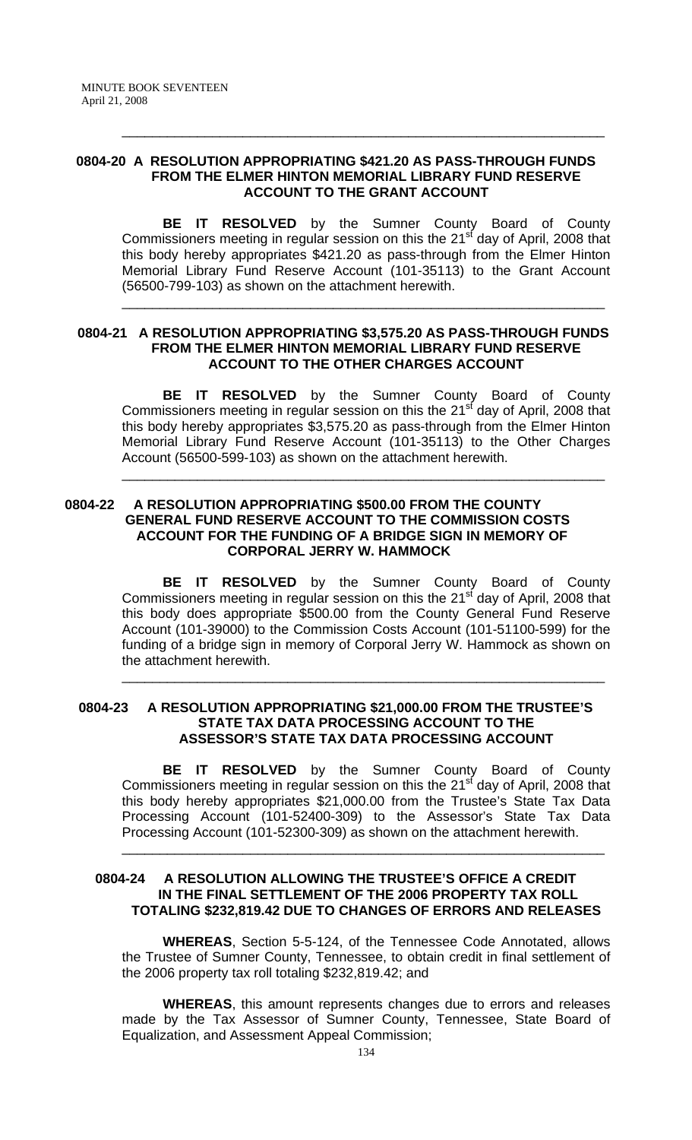#### **0804-20 A RESOLUTION APPROPRIATING \$421.20 AS PASS-THROUGH FUNDS FROM THE ELMER HINTON MEMORIAL LIBRARY FUND RESERVE ACCOUNT TO THE GRANT ACCOUNT**

**BE IT RESOLVED** by the Sumner County Board of County Commissioners meeting in regular session on this the 21<sup>st</sup> day of April, 2008 that this body hereby appropriates \$421.20 as pass-through from the Elmer Hinton Memorial Library Fund Reserve Account (101-35113) to the Grant Account (56500-799-103) as shown on the attachment herewith.

\_\_\_\_\_\_\_\_\_\_\_\_\_\_\_\_\_\_\_\_\_\_\_\_\_\_\_\_\_\_\_\_\_\_\_\_\_\_\_\_\_\_\_\_\_\_\_\_\_\_\_\_\_\_\_\_\_\_\_\_\_\_\_\_

\_\_\_\_\_\_\_\_\_\_\_\_\_\_\_\_\_\_\_\_\_\_\_\_\_\_\_\_\_\_\_\_\_\_\_\_\_\_\_\_\_\_\_\_\_\_\_\_\_\_\_\_\_\_\_\_\_\_\_\_\_\_\_\_

### **0804-21 A RESOLUTION APPROPRIATING \$3,575.20 AS PASS-THROUGH FUNDS FROM THE ELMER HINTON MEMORIAL LIBRARY FUND RESERVE ACCOUNT TO THE OTHER CHARGES ACCOUNT**

**BE IT RESOLVED** by the Sumner County Board of County Commissioners meeting in regular session on this the  $21<sup>st</sup>$  day of April, 2008 that this body hereby appropriates \$3,575.20 as pass-through from the Elmer Hinton Memorial Library Fund Reserve Account (101-35113) to the Other Charges Account (56500-599-103) as shown on the attachment herewith.

\_\_\_\_\_\_\_\_\_\_\_\_\_\_\_\_\_\_\_\_\_\_\_\_\_\_\_\_\_\_\_\_\_\_\_\_\_\_\_\_\_\_\_\_\_\_\_\_\_\_\_\_\_\_\_\_\_\_\_\_\_\_\_\_

# **0804-22 A RESOLUTION APPROPRIATING \$500.00 FROM THE COUNTY GENERAL FUND RESERVE ACCOUNT TO THE COMMISSION COSTS ACCOUNT FOR THE FUNDING OF A BRIDGE SIGN IN MEMORY OF CORPORAL JERRY W. HAMMOCK**

 **BE IT RESOLVED** by the Sumner County Board of County Commissioners meeting in regular session on this the 21<sup>st</sup> day of April, 2008 that this body does appropriate \$500.00 from the County General Fund Reserve Account (101-39000) to the Commission Costs Account (101-51100-599) for the funding of a bridge sign in memory of Corporal Jerry W. Hammock as shown on the attachment herewith.

\_\_\_\_\_\_\_\_\_\_\_\_\_\_\_\_\_\_\_\_\_\_\_\_\_\_\_\_\_\_\_\_\_\_\_\_\_\_\_\_\_\_\_\_\_\_\_\_\_\_\_\_\_\_\_\_\_\_\_\_\_\_\_\_

### **0804-23 A RESOLUTION APPROPRIATING \$21,000.00 FROM THE TRUSTEE'S STATE TAX DATA PROCESSING ACCOUNT TO THE ASSESSOR'S STATE TAX DATA PROCESSING ACCOUNT**

 **BE IT RESOLVED** by the Sumner County Board of County Commissioners meeting in regular session on this the 21<sup>st</sup> day of April, 2008 that this body hereby appropriates \$21,000.00 from the Trustee's State Tax Data Processing Account (101-52400-309) to the Assessor's State Tax Data Processing Account (101-52300-309) as shown on the attachment herewith.

\_\_\_\_\_\_\_\_\_\_\_\_\_\_\_\_\_\_\_\_\_\_\_\_\_\_\_\_\_\_\_\_\_\_\_\_\_\_\_\_\_\_\_\_\_\_\_\_\_\_\_\_\_\_\_\_\_\_\_\_\_\_\_\_

### **0804-24 A RESOLUTION ALLOWING THE TRUSTEE'S OFFICE A CREDIT IN THE FINAL SETTLEMENT OF THE 2006 PROPERTY TAX ROLL TOTALING \$232,819.42 DUE TO CHANGES OF ERRORS AND RELEASES**

 **WHEREAS**, Section 5-5-124, of the Tennessee Code Annotated, allows the Trustee of Sumner County, Tennessee, to obtain credit in final settlement of the 2006 property tax roll totaling \$232,819.42; and

**WHEREAS**, this amount represents changes due to errors and releases made by the Tax Assessor of Sumner County, Tennessee, State Board of Equalization, and Assessment Appeal Commission;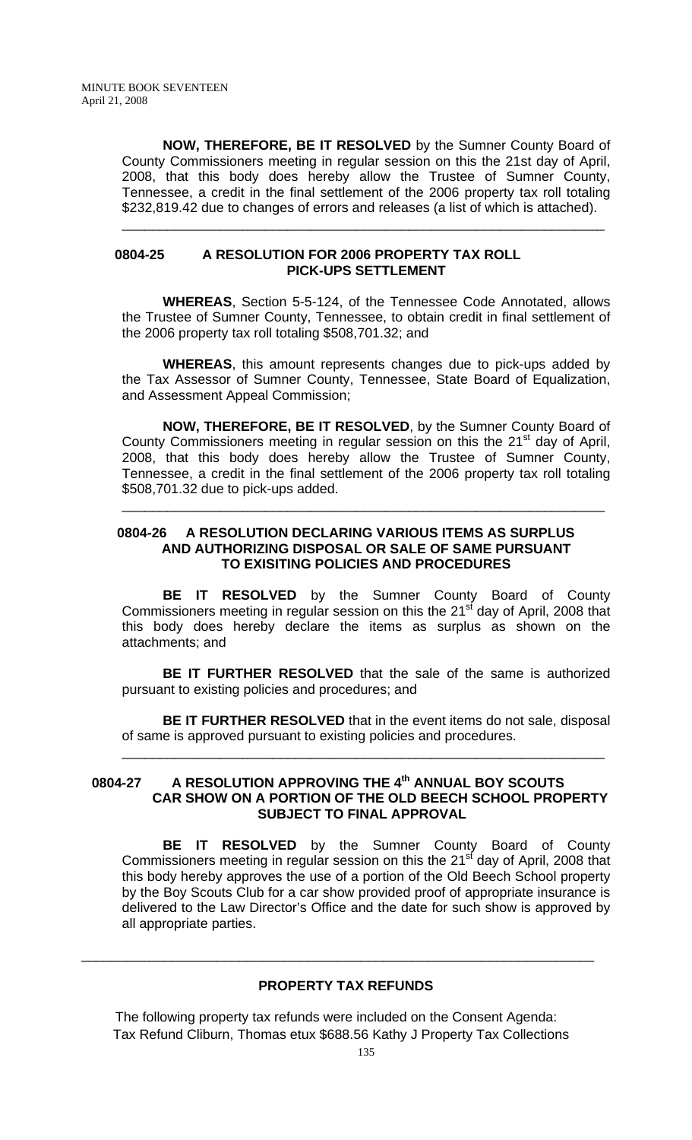**NOW, THEREFORE, BE IT RESOLVED** by the Sumner County Board of County Commissioners meeting in regular session on this the 21st day of April, 2008, that this body does hereby allow the Trustee of Sumner County, Tennessee, a credit in the final settlement of the 2006 property tax roll totaling \$232,819.42 due to changes of errors and releases (a list of which is attached).

\_\_\_\_\_\_\_\_\_\_\_\_\_\_\_\_\_\_\_\_\_\_\_\_\_\_\_\_\_\_\_\_\_\_\_\_\_\_\_\_\_\_\_\_\_\_\_\_\_\_\_\_\_\_\_\_\_\_\_\_\_\_\_\_

#### **0804-25 A RESOLUTION FOR 2006 PROPERTY TAX ROLL PICK-UPS SETTLEMENT**

 **WHEREAS**, Section 5-5-124, of the Tennessee Code Annotated, allows the Trustee of Sumner County, Tennessee, to obtain credit in final settlement of the 2006 property tax roll totaling \$508,701.32; and

**WHEREAS**, this amount represents changes due to pick-ups added by the Tax Assessor of Sumner County, Tennessee, State Board of Equalization, and Assessment Appeal Commission;

**NOW, THEREFORE, BE IT RESOLVED**, by the Sumner County Board of County Commissioners meeting in regular session on this the  $21<sup>st</sup>$  day of April, 2008, that this body does hereby allow the Trustee of Sumner County, Tennessee, a credit in the final settlement of the 2006 property tax roll totaling \$508,701.32 due to pick-ups added.

\_\_\_\_\_\_\_\_\_\_\_\_\_\_\_\_\_\_\_\_\_\_\_\_\_\_\_\_\_\_\_\_\_\_\_\_\_\_\_\_\_\_\_\_\_\_\_\_\_\_\_\_\_\_\_\_\_\_\_\_\_\_\_\_

## **0804-26 A RESOLUTION DECLARING VARIOUS ITEMS AS SURPLUS AND AUTHORIZING DISPOSAL OR SALE OF SAME PURSUANT TO EXISITING POLICIES AND PROCEDURES**

 **BE IT RESOLVED** by the Sumner County Board of County Commissioners meeting in regular session on this the  $21<sup>st</sup>$  day of April, 2008 that this body does hereby declare the items as surplus as shown on the attachments; and

**BE IT FURTHER RESOLVED** that the sale of the same is authorized pursuant to existing policies and procedures; and

**BE IT FURTHER RESOLVED** that in the event items do not sale, disposal of same is approved pursuant to existing policies and procedures.

\_\_\_\_\_\_\_\_\_\_\_\_\_\_\_\_\_\_\_\_\_\_\_\_\_\_\_\_\_\_\_\_\_\_\_\_\_\_\_\_\_\_\_\_\_\_\_\_\_\_\_\_\_\_\_\_\_\_\_\_\_\_\_\_

# 0804-27 A RESOLUTION APPROVING THE 4<sup>th</sup> ANNUAL BOY SCOUTS  **CAR SHOW ON A PORTION OF THE OLD BEECH SCHOOL PROPERTY SUBJECT TO FINAL APPROVAL**

 **BE IT RESOLVED** by the Sumner County Board of County Commissioners meeting in regular session on this the  $21<sup>st</sup>$  day of April, 2008 that this body hereby approves the use of a portion of the Old Beech School property by the Boy Scouts Club for a car show provided proof of appropriate insurance is delivered to the Law Director's Office and the date for such show is approved by all appropriate parties.

# **PROPERTY TAX REFUNDS**

\_\_\_\_\_\_\_\_\_\_\_\_\_\_\_\_\_\_\_\_\_\_\_\_\_\_\_\_\_\_\_\_\_\_\_\_\_\_\_\_\_\_\_\_\_\_\_\_\_\_\_\_\_\_\_\_\_\_\_\_\_\_\_\_\_\_\_\_

 The following property tax refunds were included on the Consent Agenda: Tax Refund Cliburn, Thomas etux \$688.56 Kathy J Property Tax Collections